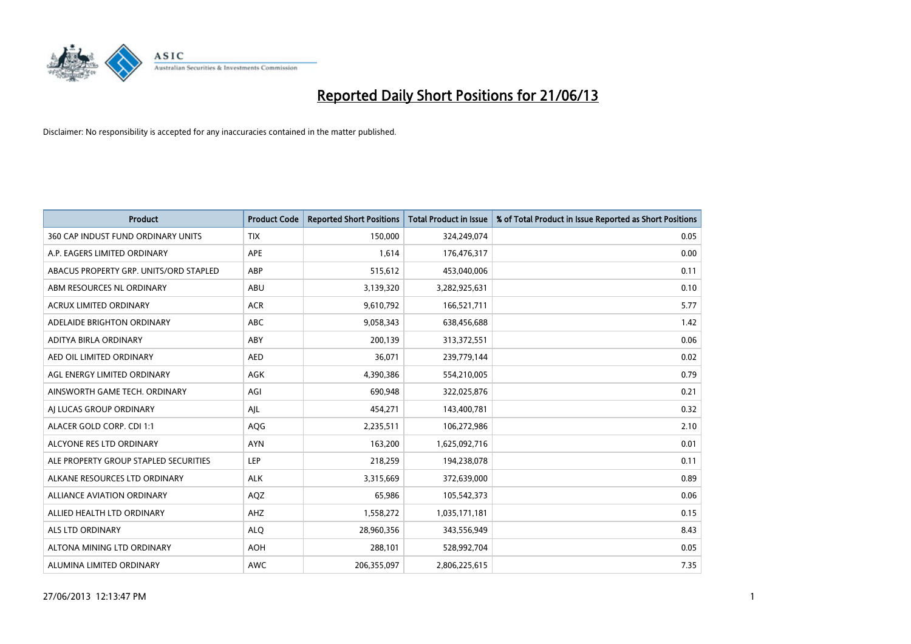

| <b>Product</b>                         | <b>Product Code</b> | <b>Reported Short Positions</b> | <b>Total Product in Issue</b> | % of Total Product in Issue Reported as Short Positions |
|----------------------------------------|---------------------|---------------------------------|-------------------------------|---------------------------------------------------------|
| 360 CAP INDUST FUND ORDINARY UNITS     | <b>TIX</b>          | 150,000                         | 324,249,074                   | 0.05                                                    |
| A.P. EAGERS LIMITED ORDINARY           | APE                 | 1,614                           | 176,476,317                   | 0.00                                                    |
| ABACUS PROPERTY GRP. UNITS/ORD STAPLED | ABP                 | 515,612                         | 453,040,006                   | 0.11                                                    |
| ABM RESOURCES NL ORDINARY              | ABU                 | 3,139,320                       | 3,282,925,631                 | 0.10                                                    |
| <b>ACRUX LIMITED ORDINARY</b>          | <b>ACR</b>          | 9,610,792                       | 166,521,711                   | 5.77                                                    |
| ADELAIDE BRIGHTON ORDINARY             | <b>ABC</b>          | 9,058,343                       | 638,456,688                   | 1.42                                                    |
| ADITYA BIRLA ORDINARY                  | ABY                 | 200,139                         | 313,372,551                   | 0.06                                                    |
| AED OIL LIMITED ORDINARY               | <b>AED</b>          | 36,071                          | 239,779,144                   | 0.02                                                    |
| AGL ENERGY LIMITED ORDINARY            | <b>AGK</b>          | 4,390,386                       | 554,210,005                   | 0.79                                                    |
| AINSWORTH GAME TECH. ORDINARY          | AGI                 | 690,948                         | 322,025,876                   | 0.21                                                    |
| AI LUCAS GROUP ORDINARY                | AJL                 | 454,271                         | 143,400,781                   | 0.32                                                    |
| ALACER GOLD CORP. CDI 1:1              | AQG                 | 2,235,511                       | 106,272,986                   | 2.10                                                    |
| ALCYONE RES LTD ORDINARY               | <b>AYN</b>          | 163,200                         | 1,625,092,716                 | 0.01                                                    |
| ALE PROPERTY GROUP STAPLED SECURITIES  | LEP                 | 218,259                         | 194,238,078                   | 0.11                                                    |
| ALKANE RESOURCES LTD ORDINARY          | <b>ALK</b>          | 3,315,669                       | 372,639,000                   | 0.89                                                    |
| ALLIANCE AVIATION ORDINARY             | AQZ                 | 65,986                          | 105,542,373                   | 0.06                                                    |
| ALLIED HEALTH LTD ORDINARY             | AHZ                 | 1,558,272                       | 1,035,171,181                 | 0.15                                                    |
| <b>ALS LTD ORDINARY</b>                | <b>ALQ</b>          | 28,960,356                      | 343,556,949                   | 8.43                                                    |
| ALTONA MINING LTD ORDINARY             | <b>AOH</b>          | 288,101                         | 528,992,704                   | 0.05                                                    |
| ALUMINA LIMITED ORDINARY               | <b>AWC</b>          | 206,355,097                     | 2,806,225,615                 | 7.35                                                    |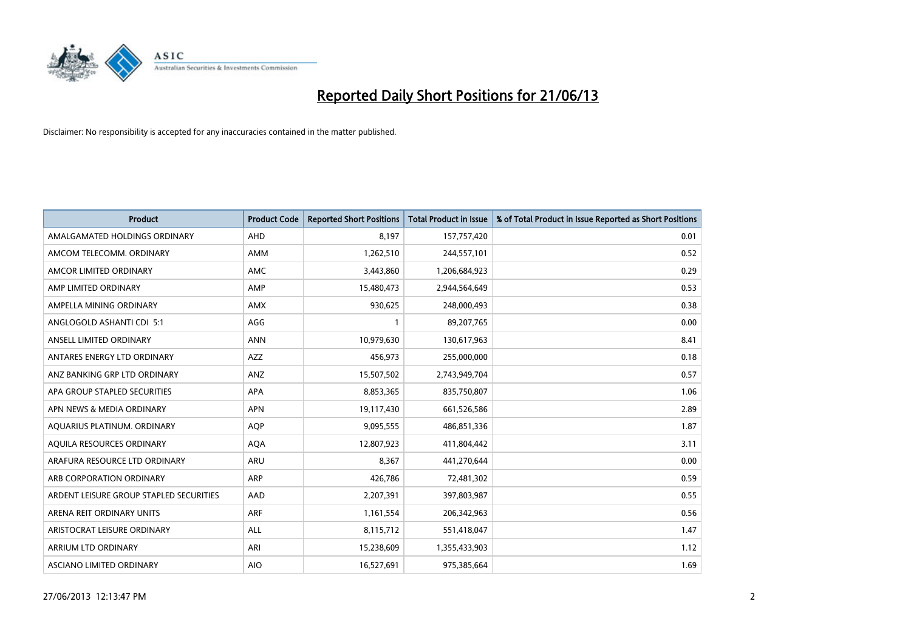

| <b>Product</b>                          | <b>Product Code</b> | <b>Reported Short Positions</b> | <b>Total Product in Issue</b> | % of Total Product in Issue Reported as Short Positions |
|-----------------------------------------|---------------------|---------------------------------|-------------------------------|---------------------------------------------------------|
| AMALGAMATED HOLDINGS ORDINARY           | AHD                 | 8,197                           | 157,757,420                   | 0.01                                                    |
| AMCOM TELECOMM. ORDINARY                | AMM                 | 1,262,510                       | 244,557,101                   | 0.52                                                    |
| AMCOR LIMITED ORDINARY                  | AMC                 | 3,443,860                       | 1,206,684,923                 | 0.29                                                    |
| AMP LIMITED ORDINARY                    | AMP                 | 15,480,473                      | 2,944,564,649                 | 0.53                                                    |
| AMPELLA MINING ORDINARY                 | <b>AMX</b>          | 930,625                         | 248,000,493                   | 0.38                                                    |
| ANGLOGOLD ASHANTI CDI 5:1               | AGG                 | 1                               | 89,207,765                    | 0.00                                                    |
| ANSELL LIMITED ORDINARY                 | <b>ANN</b>          | 10,979,630                      | 130,617,963                   | 8.41                                                    |
| ANTARES ENERGY LTD ORDINARY             | AZZ                 | 456,973                         | 255,000,000                   | 0.18                                                    |
| ANZ BANKING GRP LTD ORDINARY            | ANZ                 | 15,507,502                      | 2,743,949,704                 | 0.57                                                    |
| APA GROUP STAPLED SECURITIES            | <b>APA</b>          | 8,853,365                       | 835,750,807                   | 1.06                                                    |
| APN NEWS & MEDIA ORDINARY               | <b>APN</b>          | 19,117,430                      | 661,526,586                   | 2.89                                                    |
| AQUARIUS PLATINUM. ORDINARY             | <b>AQP</b>          | 9,095,555                       | 486,851,336                   | 1.87                                                    |
| AQUILA RESOURCES ORDINARY               | <b>AQA</b>          | 12,807,923                      | 411,804,442                   | 3.11                                                    |
| ARAFURA RESOURCE LTD ORDINARY           | ARU                 | 8,367                           | 441,270,644                   | 0.00                                                    |
| ARB CORPORATION ORDINARY                | ARP                 | 426,786                         | 72,481,302                    | 0.59                                                    |
| ARDENT LEISURE GROUP STAPLED SECURITIES | AAD                 | 2,207,391                       | 397,803,987                   | 0.55                                                    |
| ARENA REIT ORDINARY UNITS               | ARF                 | 1,161,554                       | 206,342,963                   | 0.56                                                    |
| ARISTOCRAT LEISURE ORDINARY             | <b>ALL</b>          | 8,115,712                       | 551,418,047                   | 1.47                                                    |
| ARRIUM LTD ORDINARY                     | ARI                 | 15,238,609                      | 1,355,433,903                 | 1.12                                                    |
| ASCIANO LIMITED ORDINARY                | <b>AIO</b>          | 16,527,691                      | 975,385,664                   | 1.69                                                    |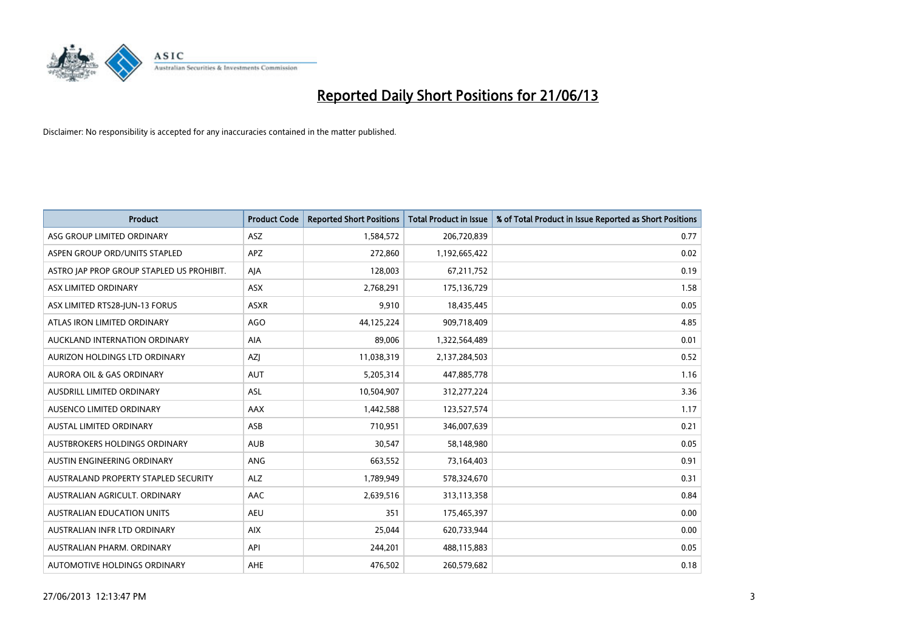

| <b>Product</b>                            | <b>Product Code</b> | <b>Reported Short Positions</b> | <b>Total Product in Issue</b> | % of Total Product in Issue Reported as Short Positions |
|-------------------------------------------|---------------------|---------------------------------|-------------------------------|---------------------------------------------------------|
| ASG GROUP LIMITED ORDINARY                | ASZ                 | 1,584,572                       | 206,720,839                   | 0.77                                                    |
| ASPEN GROUP ORD/UNITS STAPLED             | APZ                 | 272,860                         | 1,192,665,422                 | 0.02                                                    |
| ASTRO JAP PROP GROUP STAPLED US PROHIBIT. | AJA                 | 128,003                         | 67,211,752                    | 0.19                                                    |
| ASX LIMITED ORDINARY                      | ASX                 | 2,768,291                       | 175,136,729                   | 1.58                                                    |
| ASX LIMITED RTS28-JUN-13 FORUS            | <b>ASXR</b>         | 9,910                           | 18,435,445                    | 0.05                                                    |
| ATLAS IRON LIMITED ORDINARY               | <b>AGO</b>          | 44,125,224                      | 909,718,409                   | 4.85                                                    |
| AUCKLAND INTERNATION ORDINARY             | AIA                 | 89,006                          | 1,322,564,489                 | 0.01                                                    |
| AURIZON HOLDINGS LTD ORDINARY             | AZJ                 | 11,038,319                      | 2,137,284,503                 | 0.52                                                    |
| <b>AURORA OIL &amp; GAS ORDINARY</b>      | <b>AUT</b>          | 5,205,314                       | 447,885,778                   | 1.16                                                    |
| AUSDRILL LIMITED ORDINARY                 | <b>ASL</b>          | 10,504,907                      | 312,277,224                   | 3.36                                                    |
| AUSENCO LIMITED ORDINARY                  | AAX                 | 1,442,588                       | 123,527,574                   | 1.17                                                    |
| AUSTAL LIMITED ORDINARY                   | ASB                 | 710,951                         | 346,007,639                   | 0.21                                                    |
| <b>AUSTBROKERS HOLDINGS ORDINARY</b>      | <b>AUB</b>          | 30,547                          | 58,148,980                    | 0.05                                                    |
| AUSTIN ENGINEERING ORDINARY               | ANG                 | 663,552                         | 73,164,403                    | 0.91                                                    |
| AUSTRALAND PROPERTY STAPLED SECURITY      | <b>ALZ</b>          | 1,789,949                       | 578,324,670                   | 0.31                                                    |
| AUSTRALIAN AGRICULT. ORDINARY             | AAC                 | 2,639,516                       | 313,113,358                   | 0.84                                                    |
| <b>AUSTRALIAN EDUCATION UNITS</b>         | <b>AEU</b>          | 351                             | 175,465,397                   | 0.00                                                    |
| AUSTRALIAN INFR LTD ORDINARY              | <b>AIX</b>          | 25,044                          | 620,733,944                   | 0.00                                                    |
| AUSTRALIAN PHARM, ORDINARY                | API                 | 244,201                         | 488,115,883                   | 0.05                                                    |
| AUTOMOTIVE HOLDINGS ORDINARY              | <b>AHE</b>          | 476,502                         | 260,579,682                   | 0.18                                                    |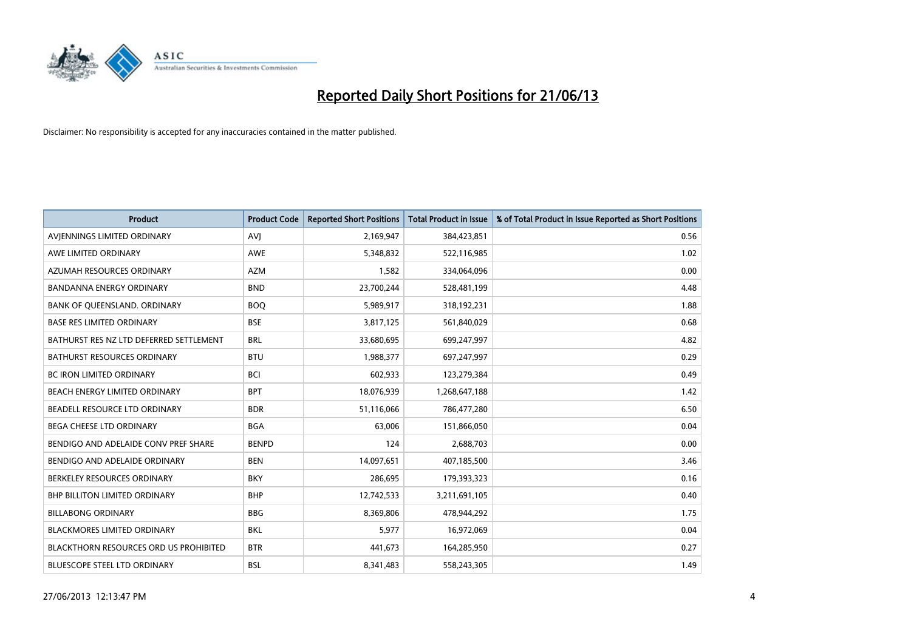

| <b>Product</b>                                | <b>Product Code</b> | <b>Reported Short Positions</b> | <b>Total Product in Issue</b> | % of Total Product in Issue Reported as Short Positions |
|-----------------------------------------------|---------------------|---------------------------------|-------------------------------|---------------------------------------------------------|
| AVIENNINGS LIMITED ORDINARY                   | <b>AVJ</b>          | 2,169,947                       | 384,423,851                   | 0.56                                                    |
| AWE LIMITED ORDINARY                          | AWE                 | 5,348,832                       | 522,116,985                   | 1.02                                                    |
| AZUMAH RESOURCES ORDINARY                     | <b>AZM</b>          | 1,582                           | 334,064,096                   | 0.00                                                    |
| <b>BANDANNA ENERGY ORDINARY</b>               | <b>BND</b>          | 23,700,244                      | 528,481,199                   | 4.48                                                    |
| BANK OF QUEENSLAND. ORDINARY                  | <b>BOQ</b>          | 5,989,917                       | 318,192,231                   | 1.88                                                    |
| <b>BASE RES LIMITED ORDINARY</b>              | <b>BSE</b>          | 3,817,125                       | 561,840,029                   | 0.68                                                    |
| BATHURST RES NZ LTD DEFERRED SETTLEMENT       | <b>BRL</b>          | 33,680,695                      | 699,247,997                   | 4.82                                                    |
| BATHURST RESOURCES ORDINARY                   | <b>BTU</b>          | 1,988,377                       | 697,247,997                   | 0.29                                                    |
| BC IRON LIMITED ORDINARY                      | <b>BCI</b>          | 602,933                         | 123,279,384                   | 0.49                                                    |
| BEACH ENERGY LIMITED ORDINARY                 | <b>BPT</b>          | 18,076,939                      | 1,268,647,188                 | 1.42                                                    |
| BEADELL RESOURCE LTD ORDINARY                 | <b>BDR</b>          | 51,116,066                      | 786,477,280                   | 6.50                                                    |
| <b>BEGA CHEESE LTD ORDINARY</b>               | <b>BGA</b>          | 63,006                          | 151,866,050                   | 0.04                                                    |
| BENDIGO AND ADELAIDE CONV PREF SHARE          | <b>BENPD</b>        | 124                             | 2,688,703                     | 0.00                                                    |
| BENDIGO AND ADELAIDE ORDINARY                 | <b>BEN</b>          | 14,097,651                      | 407,185,500                   | 3.46                                                    |
| BERKELEY RESOURCES ORDINARY                   | <b>BKY</b>          | 286,695                         | 179,393,323                   | 0.16                                                    |
| <b>BHP BILLITON LIMITED ORDINARY</b>          | <b>BHP</b>          | 12,742,533                      | 3,211,691,105                 | 0.40                                                    |
| <b>BILLABONG ORDINARY</b>                     | <b>BBG</b>          | 8,369,806                       | 478,944,292                   | 1.75                                                    |
| <b>BLACKMORES LIMITED ORDINARY</b>            | <b>BKL</b>          | 5,977                           | 16,972,069                    | 0.04                                                    |
| <b>BLACKTHORN RESOURCES ORD US PROHIBITED</b> | <b>BTR</b>          | 441,673                         | 164,285,950                   | 0.27                                                    |
| BLUESCOPE STEEL LTD ORDINARY                  | <b>BSL</b>          | 8,341,483                       | 558,243,305                   | 1.49                                                    |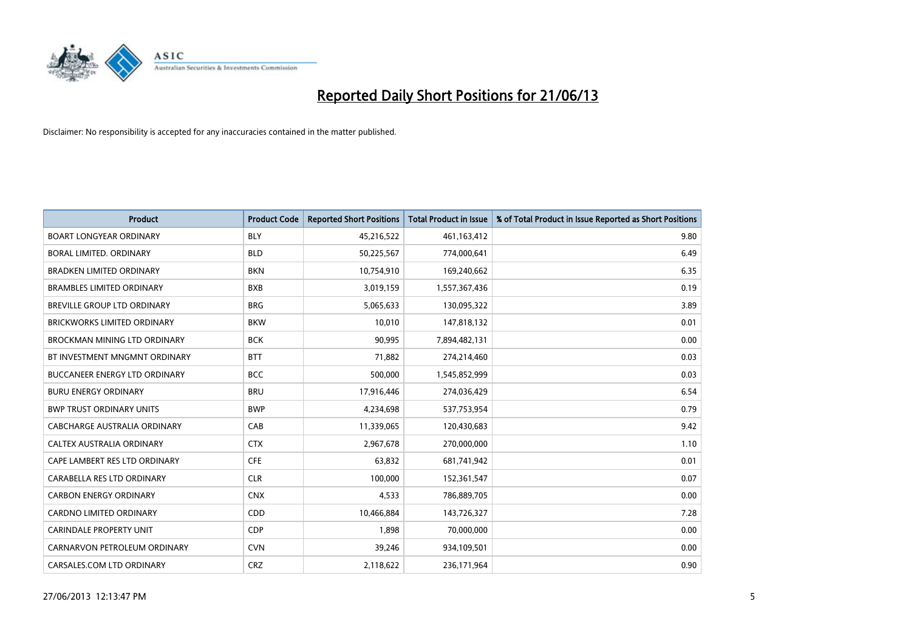

| <b>Product</b>                       | <b>Product Code</b> | <b>Reported Short Positions</b> | <b>Total Product in Issue</b> | % of Total Product in Issue Reported as Short Positions |
|--------------------------------------|---------------------|---------------------------------|-------------------------------|---------------------------------------------------------|
| <b>BOART LONGYEAR ORDINARY</b>       | <b>BLY</b>          | 45,216,522                      | 461,163,412                   | 9.80                                                    |
| BORAL LIMITED. ORDINARY              | <b>BLD</b>          | 50,225,567                      | 774,000,641                   | 6.49                                                    |
| <b>BRADKEN LIMITED ORDINARY</b>      | <b>BKN</b>          | 10,754,910                      | 169,240,662                   | 6.35                                                    |
| <b>BRAMBLES LIMITED ORDINARY</b>     | <b>BXB</b>          | 3,019,159                       | 1,557,367,436                 | 0.19                                                    |
| BREVILLE GROUP LTD ORDINARY          | <b>BRG</b>          | 5,065,633                       | 130,095,322                   | 3.89                                                    |
| <b>BRICKWORKS LIMITED ORDINARY</b>   | <b>BKW</b>          | 10,010                          | 147,818,132                   | 0.01                                                    |
| <b>BROCKMAN MINING LTD ORDINARY</b>  | <b>BCK</b>          | 90,995                          | 7,894,482,131                 | 0.00                                                    |
| BT INVESTMENT MNGMNT ORDINARY        | <b>BTT</b>          | 71,882                          | 274,214,460                   | 0.03                                                    |
| <b>BUCCANEER ENERGY LTD ORDINARY</b> | <b>BCC</b>          | 500,000                         | 1,545,852,999                 | 0.03                                                    |
| <b>BURU ENERGY ORDINARY</b>          | <b>BRU</b>          | 17,916,446                      | 274,036,429                   | 6.54                                                    |
| <b>BWP TRUST ORDINARY UNITS</b>      | <b>BWP</b>          | 4,234,698                       | 537,753,954                   | 0.79                                                    |
| CABCHARGE AUSTRALIA ORDINARY         | CAB                 | 11,339,065                      | 120,430,683                   | 9.42                                                    |
| CALTEX AUSTRALIA ORDINARY            | <b>CTX</b>          | 2,967,678                       | 270,000,000                   | 1.10                                                    |
| CAPE LAMBERT RES LTD ORDINARY        | <b>CFE</b>          | 63,832                          | 681,741,942                   | 0.01                                                    |
| CARABELLA RES LTD ORDINARY           | <b>CLR</b>          | 100,000                         | 152,361,547                   | 0.07                                                    |
| <b>CARBON ENERGY ORDINARY</b>        | <b>CNX</b>          | 4,533                           | 786,889,705                   | 0.00                                                    |
| CARDNO LIMITED ORDINARY              | CDD                 | 10,466,884                      | 143,726,327                   | 7.28                                                    |
| CARINDALE PROPERTY UNIT              | <b>CDP</b>          | 1,898                           | 70,000,000                    | 0.00                                                    |
| CARNARVON PETROLEUM ORDINARY         | <b>CVN</b>          | 39,246                          | 934,109,501                   | 0.00                                                    |
| CARSALES.COM LTD ORDINARY            | <b>CRZ</b>          | 2,118,622                       | 236,171,964                   | 0.90                                                    |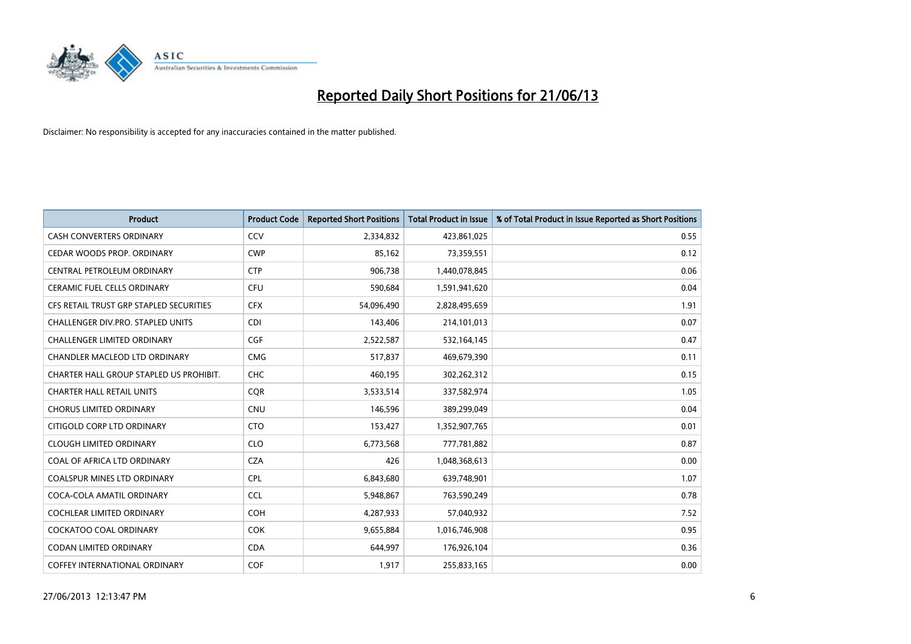

| <b>Product</b>                          | <b>Product Code</b> | <b>Reported Short Positions</b> | <b>Total Product in Issue</b> | % of Total Product in Issue Reported as Short Positions |
|-----------------------------------------|---------------------|---------------------------------|-------------------------------|---------------------------------------------------------|
| <b>CASH CONVERTERS ORDINARY</b>         | CCV                 | 2,334,832                       | 423,861,025                   | 0.55                                                    |
| CEDAR WOODS PROP. ORDINARY              | <b>CWP</b>          | 85,162                          | 73,359,551                    | 0.12                                                    |
| CENTRAL PETROLEUM ORDINARY              | <b>CTP</b>          | 906,738                         | 1,440,078,845                 | 0.06                                                    |
| <b>CERAMIC FUEL CELLS ORDINARY</b>      | <b>CFU</b>          | 590,684                         | 1,591,941,620                 | 0.04                                                    |
| CFS RETAIL TRUST GRP STAPLED SECURITIES | <b>CFX</b>          | 54,096,490                      | 2,828,495,659                 | 1.91                                                    |
| CHALLENGER DIV.PRO. STAPLED UNITS       | <b>CDI</b>          | 143,406                         | 214,101,013                   | 0.07                                                    |
| <b>CHALLENGER LIMITED ORDINARY</b>      | <b>CGF</b>          | 2,522,587                       | 532,164,145                   | 0.47                                                    |
| CHANDLER MACLEOD LTD ORDINARY           | <b>CMG</b>          | 517,837                         | 469,679,390                   | 0.11                                                    |
| CHARTER HALL GROUP STAPLED US PROHIBIT. | <b>CHC</b>          | 460,195                         | 302,262,312                   | 0.15                                                    |
| <b>CHARTER HALL RETAIL UNITS</b>        | <b>CQR</b>          | 3,533,514                       | 337,582,974                   | 1.05                                                    |
| <b>CHORUS LIMITED ORDINARY</b>          | <b>CNU</b>          | 146,596                         | 389,299,049                   | 0.04                                                    |
| CITIGOLD CORP LTD ORDINARY              | <b>CTO</b>          | 153,427                         | 1,352,907,765                 | 0.01                                                    |
| <b>CLOUGH LIMITED ORDINARY</b>          | <b>CLO</b>          | 6,773,568                       | 777,781,882                   | 0.87                                                    |
| COAL OF AFRICA LTD ORDINARY             | <b>CZA</b>          | 426                             | 1,048,368,613                 | 0.00                                                    |
| <b>COALSPUR MINES LTD ORDINARY</b>      | <b>CPL</b>          | 6,843,680                       | 639,748,901                   | 1.07                                                    |
| COCA-COLA AMATIL ORDINARY               | <b>CCL</b>          | 5,948,867                       | 763,590,249                   | 0.78                                                    |
| <b>COCHLEAR LIMITED ORDINARY</b>        | <b>COH</b>          | 4,287,933                       | 57,040,932                    | 7.52                                                    |
| <b>COCKATOO COAL ORDINARY</b>           | <b>COK</b>          | 9,655,884                       | 1,016,746,908                 | 0.95                                                    |
| <b>CODAN LIMITED ORDINARY</b>           | <b>CDA</b>          | 644,997                         | 176,926,104                   | 0.36                                                    |
| <b>COFFEY INTERNATIONAL ORDINARY</b>    | <b>COF</b>          | 1,917                           | 255,833,165                   | 0.00                                                    |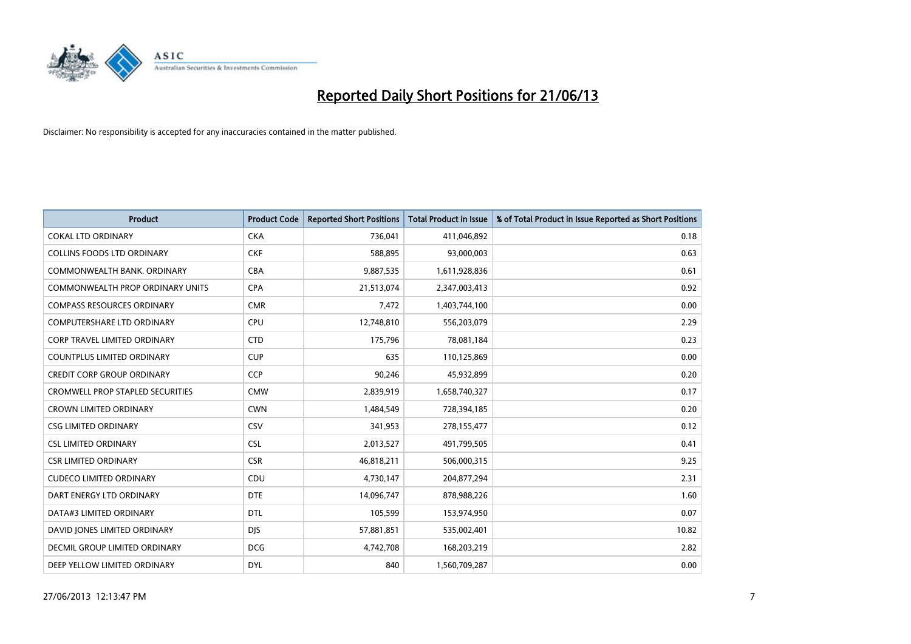

| <b>Product</b>                          | <b>Product Code</b> | <b>Reported Short Positions</b> | <b>Total Product in Issue</b> | % of Total Product in Issue Reported as Short Positions |
|-----------------------------------------|---------------------|---------------------------------|-------------------------------|---------------------------------------------------------|
| <b>COKAL LTD ORDINARY</b>               | <b>CKA</b>          | 736,041                         | 411,046,892                   | 0.18                                                    |
| COLLINS FOODS LTD ORDINARY              | <b>CKF</b>          | 588,895                         | 93,000,003                    | 0.63                                                    |
| COMMONWEALTH BANK, ORDINARY             | <b>CBA</b>          | 9,887,535                       | 1,611,928,836                 | 0.61                                                    |
| COMMONWEALTH PROP ORDINARY UNITS        | <b>CPA</b>          | 21,513,074                      | 2,347,003,413                 | 0.92                                                    |
| <b>COMPASS RESOURCES ORDINARY</b>       | <b>CMR</b>          | 7,472                           | 1,403,744,100                 | 0.00                                                    |
| <b>COMPUTERSHARE LTD ORDINARY</b>       | <b>CPU</b>          | 12,748,810                      | 556,203,079                   | 2.29                                                    |
| <b>CORP TRAVEL LIMITED ORDINARY</b>     | <b>CTD</b>          | 175,796                         | 78,081,184                    | 0.23                                                    |
| <b>COUNTPLUS LIMITED ORDINARY</b>       | <b>CUP</b>          | 635                             | 110,125,869                   | 0.00                                                    |
| <b>CREDIT CORP GROUP ORDINARY</b>       | <b>CCP</b>          | 90,246                          | 45,932,899                    | 0.20                                                    |
| <b>CROMWELL PROP STAPLED SECURITIES</b> | <b>CMW</b>          | 2,839,919                       | 1,658,740,327                 | 0.17                                                    |
| <b>CROWN LIMITED ORDINARY</b>           | <b>CWN</b>          | 1,484,549                       | 728,394,185                   | 0.20                                                    |
| <b>CSG LIMITED ORDINARY</b>             | CSV                 | 341,953                         | 278,155,477                   | 0.12                                                    |
| <b>CSL LIMITED ORDINARY</b>             | <b>CSL</b>          | 2,013,527                       | 491,799,505                   | 0.41                                                    |
| <b>CSR LIMITED ORDINARY</b>             | <b>CSR</b>          | 46,818,211                      | 506,000,315                   | 9.25                                                    |
| <b>CUDECO LIMITED ORDINARY</b>          | CDU                 | 4,730,147                       | 204,877,294                   | 2.31                                                    |
| DART ENERGY LTD ORDINARY                | <b>DTE</b>          | 14,096,747                      | 878,988,226                   | 1.60                                                    |
| DATA#3 LIMITED ORDINARY                 | <b>DTL</b>          | 105,599                         | 153,974,950                   | 0.07                                                    |
| DAVID JONES LIMITED ORDINARY            | <b>DJS</b>          | 57,881,851                      | 535,002,401                   | 10.82                                                   |
| DECMIL GROUP LIMITED ORDINARY           | <b>DCG</b>          | 4,742,708                       | 168,203,219                   | 2.82                                                    |
| DEEP YELLOW LIMITED ORDINARY            | <b>DYL</b>          | 840                             | 1,560,709,287                 | 0.00                                                    |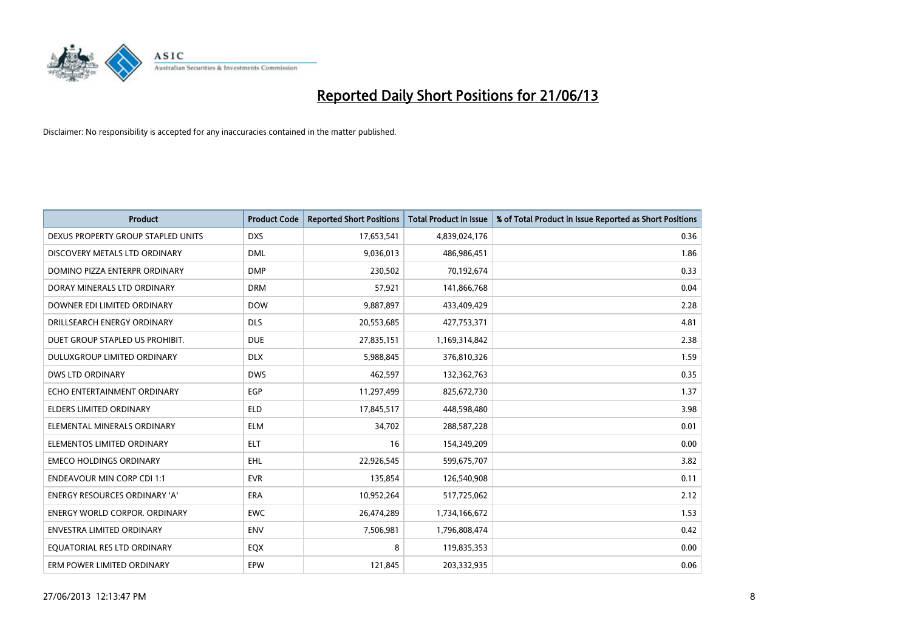

| <b>Product</b>                     | <b>Product Code</b> | <b>Reported Short Positions</b> | <b>Total Product in Issue</b> | % of Total Product in Issue Reported as Short Positions |
|------------------------------------|---------------------|---------------------------------|-------------------------------|---------------------------------------------------------|
| DEXUS PROPERTY GROUP STAPLED UNITS | <b>DXS</b>          | 17,653,541                      | 4,839,024,176                 | 0.36                                                    |
| DISCOVERY METALS LTD ORDINARY      | <b>DML</b>          | 9,036,013                       | 486,986,451                   | 1.86                                                    |
| DOMINO PIZZA ENTERPR ORDINARY      | <b>DMP</b>          | 230,502                         | 70,192,674                    | 0.33                                                    |
| DORAY MINERALS LTD ORDINARY        | <b>DRM</b>          | 57,921                          | 141,866,768                   | 0.04                                                    |
| DOWNER EDI LIMITED ORDINARY        | <b>DOW</b>          | 9,887,897                       | 433,409,429                   | 2.28                                                    |
| DRILLSEARCH ENERGY ORDINARY        | <b>DLS</b>          | 20,553,685                      | 427,753,371                   | 4.81                                                    |
| DUET GROUP STAPLED US PROHIBIT.    | <b>DUE</b>          | 27,835,151                      | 1,169,314,842                 | 2.38                                                    |
| DULUXGROUP LIMITED ORDINARY        | <b>DLX</b>          | 5,988,845                       | 376,810,326                   | 1.59                                                    |
| <b>DWS LTD ORDINARY</b>            | <b>DWS</b>          | 462,597                         | 132,362,763                   | 0.35                                                    |
| ECHO ENTERTAINMENT ORDINARY        | <b>EGP</b>          | 11,297,499                      | 825,672,730                   | 1.37                                                    |
| <b>ELDERS LIMITED ORDINARY</b>     | <b>ELD</b>          | 17,845,517                      | 448,598,480                   | 3.98                                                    |
| ELEMENTAL MINERALS ORDINARY        | <b>ELM</b>          | 34,702                          | 288,587,228                   | 0.01                                                    |
| ELEMENTOS LIMITED ORDINARY         | <b>ELT</b>          | 16                              | 154,349,209                   | 0.00                                                    |
| <b>EMECO HOLDINGS ORDINARY</b>     | <b>EHL</b>          | 22,926,545                      | 599,675,707                   | 3.82                                                    |
| <b>ENDEAVOUR MIN CORP CDI 1:1</b>  | <b>EVR</b>          | 135,854                         | 126,540,908                   | 0.11                                                    |
| ENERGY RESOURCES ORDINARY 'A'      | ERA                 | 10,952,264                      | 517,725,062                   | 2.12                                                    |
| ENERGY WORLD CORPOR. ORDINARY      | <b>EWC</b>          | 26,474,289                      | 1,734,166,672                 | 1.53                                                    |
| <b>ENVESTRA LIMITED ORDINARY</b>   | <b>ENV</b>          | 7,506,981                       | 1,796,808,474                 | 0.42                                                    |
| EQUATORIAL RES LTD ORDINARY        | EQX                 | 8                               | 119,835,353                   | 0.00                                                    |
| ERM POWER LIMITED ORDINARY         | <b>EPW</b>          | 121,845                         | 203,332,935                   | 0.06                                                    |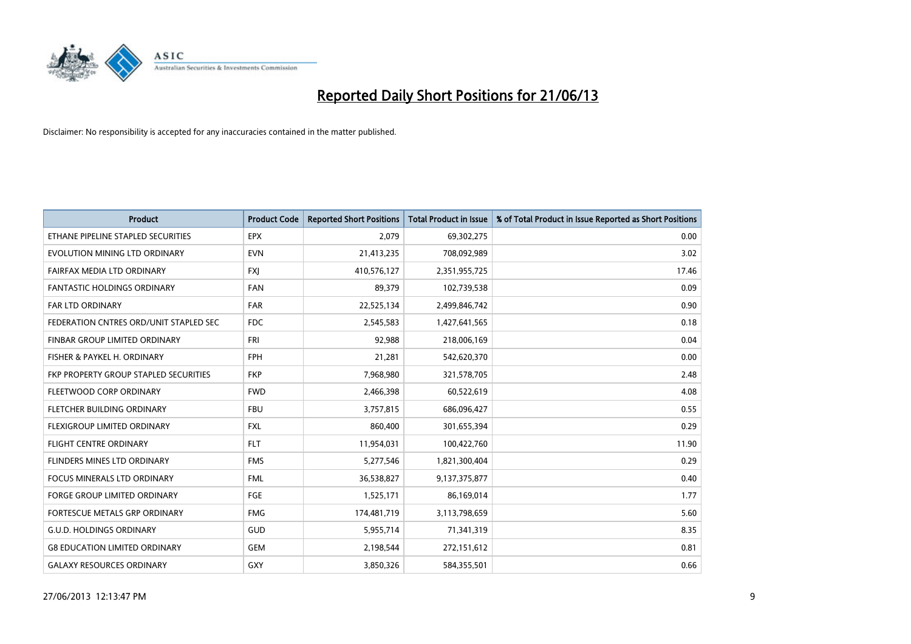

| <b>Product</b>                         | <b>Product Code</b> | <b>Reported Short Positions</b> | <b>Total Product in Issue</b> | % of Total Product in Issue Reported as Short Positions |
|----------------------------------------|---------------------|---------------------------------|-------------------------------|---------------------------------------------------------|
| ETHANE PIPELINE STAPLED SECURITIES     | <b>EPX</b>          | 2,079                           | 69,302,275                    | 0.00                                                    |
| EVOLUTION MINING LTD ORDINARY          | <b>EVN</b>          | 21,413,235                      | 708,092,989                   | 3.02                                                    |
| FAIRFAX MEDIA LTD ORDINARY             | <b>FXI</b>          | 410,576,127                     | 2,351,955,725                 | 17.46                                                   |
| FANTASTIC HOLDINGS ORDINARY            | <b>FAN</b>          | 89,379                          | 102,739,538                   | 0.09                                                    |
| <b>FAR LTD ORDINARY</b>                | <b>FAR</b>          | 22,525,134                      | 2,499,846,742                 | 0.90                                                    |
| FEDERATION CNTRES ORD/UNIT STAPLED SEC | <b>FDC</b>          | 2,545,583                       | 1,427,641,565                 | 0.18                                                    |
| FINBAR GROUP LIMITED ORDINARY          | <b>FRI</b>          | 92,988                          | 218,006,169                   | 0.04                                                    |
| FISHER & PAYKEL H. ORDINARY            | <b>FPH</b>          | 21,281                          | 542,620,370                   | 0.00                                                    |
| FKP PROPERTY GROUP STAPLED SECURITIES  | <b>FKP</b>          | 7,968,980                       | 321,578,705                   | 2.48                                                    |
| FLEETWOOD CORP ORDINARY                | <b>FWD</b>          | 2,466,398                       | 60,522,619                    | 4.08                                                    |
| FLETCHER BUILDING ORDINARY             | <b>FBU</b>          | 3,757,815                       | 686,096,427                   | 0.55                                                    |
| FLEXIGROUP LIMITED ORDINARY            | FXL                 | 860,400                         | 301,655,394                   | 0.29                                                    |
| <b>FLIGHT CENTRE ORDINARY</b>          | <b>FLT</b>          | 11,954,031                      | 100,422,760                   | 11.90                                                   |
| FLINDERS MINES LTD ORDINARY            | <b>FMS</b>          | 5,277,546                       | 1,821,300,404                 | 0.29                                                    |
| <b>FOCUS MINERALS LTD ORDINARY</b>     | <b>FML</b>          | 36,538,827                      | 9,137,375,877                 | 0.40                                                    |
| FORGE GROUP LIMITED ORDINARY           | FGE                 | 1,525,171                       | 86,169,014                    | 1.77                                                    |
| FORTESCUE METALS GRP ORDINARY          | <b>FMG</b>          | 174,481,719                     | 3,113,798,659                 | 5.60                                                    |
| <b>G.U.D. HOLDINGS ORDINARY</b>        | GUD                 | 5,955,714                       | 71,341,319                    | 8.35                                                    |
| <b>G8 EDUCATION LIMITED ORDINARY</b>   | <b>GEM</b>          | 2,198,544                       | 272,151,612                   | 0.81                                                    |
| <b>GALAXY RESOURCES ORDINARY</b>       | GXY                 | 3,850,326                       | 584,355,501                   | 0.66                                                    |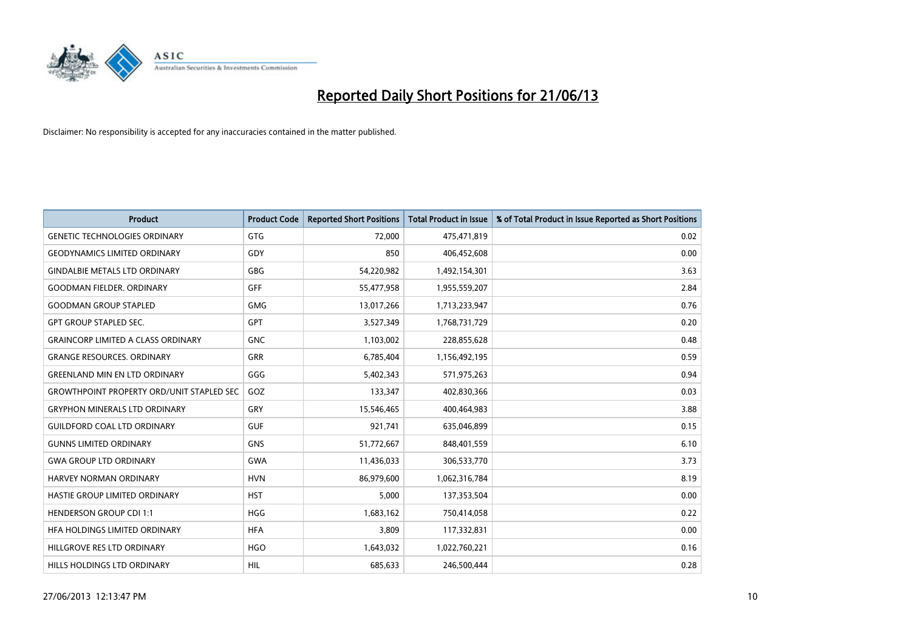

| <b>Product</b>                                   | <b>Product Code</b> | <b>Reported Short Positions</b> | <b>Total Product in Issue</b> | % of Total Product in Issue Reported as Short Positions |
|--------------------------------------------------|---------------------|---------------------------------|-------------------------------|---------------------------------------------------------|
| <b>GENETIC TECHNOLOGIES ORDINARY</b>             | <b>GTG</b>          | 72,000                          | 475,471,819                   | 0.02                                                    |
| <b>GEODYNAMICS LIMITED ORDINARY</b>              | GDY                 | 850                             | 406,452,608                   | 0.00                                                    |
| <b>GINDALBIE METALS LTD ORDINARY</b>             | GBG                 | 54,220,982                      | 1,492,154,301                 | 3.63                                                    |
| <b>GOODMAN FIELDER. ORDINARY</b>                 | <b>GFF</b>          | 55,477,958                      | 1,955,559,207                 | 2.84                                                    |
| <b>GOODMAN GROUP STAPLED</b>                     | <b>GMG</b>          | 13,017,266                      | 1,713,233,947                 | 0.76                                                    |
| <b>GPT GROUP STAPLED SEC.</b>                    | GPT                 | 3,527,349                       | 1,768,731,729                 | 0.20                                                    |
| <b>GRAINCORP LIMITED A CLASS ORDINARY</b>        | <b>GNC</b>          | 1,103,002                       | 228,855,628                   | 0.48                                                    |
| <b>GRANGE RESOURCES. ORDINARY</b>                | GRR                 | 6,785,404                       | 1,156,492,195                 | 0.59                                                    |
| <b>GREENLAND MIN EN LTD ORDINARY</b>             | GGG                 | 5,402,343                       | 571,975,263                   | 0.94                                                    |
| <b>GROWTHPOINT PROPERTY ORD/UNIT STAPLED SEC</b> | GOZ                 | 133,347                         | 402,830,366                   | 0.03                                                    |
| <b>GRYPHON MINERALS LTD ORDINARY</b>             | GRY                 | 15,546,465                      | 400,464,983                   | 3.88                                                    |
| <b>GUILDFORD COAL LTD ORDINARY</b>               | <b>GUF</b>          | 921,741                         | 635,046,899                   | 0.15                                                    |
| <b>GUNNS LIMITED ORDINARY</b>                    | <b>GNS</b>          | 51,772,667                      | 848,401,559                   | 6.10                                                    |
| <b>GWA GROUP LTD ORDINARY</b>                    | GWA                 | 11,436,033                      | 306,533,770                   | 3.73                                                    |
| HARVEY NORMAN ORDINARY                           | <b>HVN</b>          | 86,979,600                      | 1,062,316,784                 | 8.19                                                    |
| HASTIE GROUP LIMITED ORDINARY                    | <b>HST</b>          | 5,000                           | 137,353,504                   | 0.00                                                    |
| <b>HENDERSON GROUP CDI 1:1</b>                   | <b>HGG</b>          | 1,683,162                       | 750,414,058                   | 0.22                                                    |
| HFA HOLDINGS LIMITED ORDINARY                    | <b>HFA</b>          | 3,809                           | 117,332,831                   | 0.00                                                    |
| HILLGROVE RES LTD ORDINARY                       | <b>HGO</b>          | 1,643,032                       | 1,022,760,221                 | 0.16                                                    |
| HILLS HOLDINGS LTD ORDINARY                      | <b>HIL</b>          | 685,633                         | 246,500,444                   | 0.28                                                    |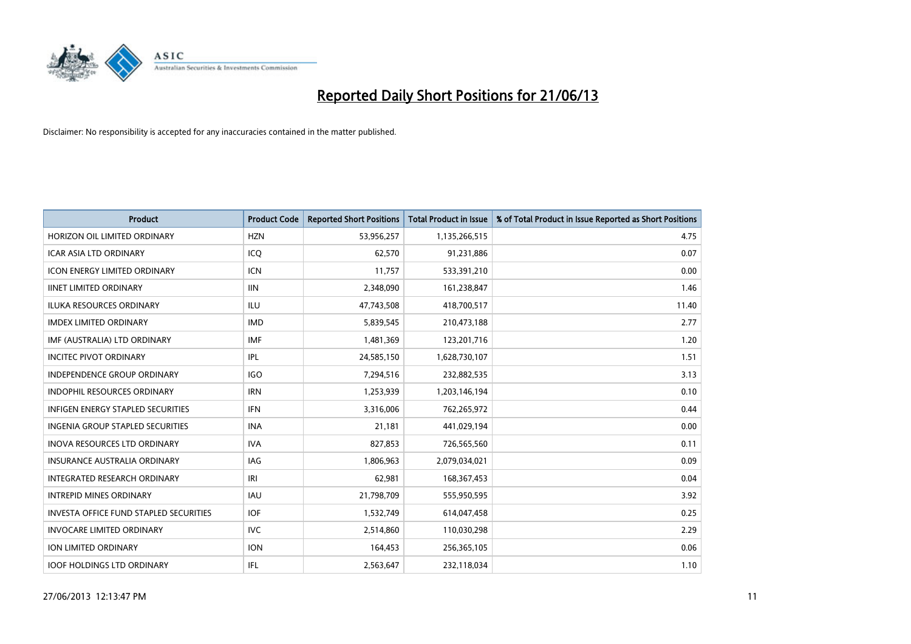

| <b>Product</b>                          | <b>Product Code</b> | <b>Reported Short Positions</b> | <b>Total Product in Issue</b> | % of Total Product in Issue Reported as Short Positions |
|-----------------------------------------|---------------------|---------------------------------|-------------------------------|---------------------------------------------------------|
| HORIZON OIL LIMITED ORDINARY            | <b>HZN</b>          | 53,956,257                      | 1,135,266,515                 | 4.75                                                    |
| ICAR ASIA LTD ORDINARY                  | ICQ                 | 62,570                          | 91,231,886                    | 0.07                                                    |
| <b>ICON ENERGY LIMITED ORDINARY</b>     | <b>ICN</b>          | 11.757                          | 533,391,210                   | 0.00                                                    |
| <b>IINET LIMITED ORDINARY</b>           | <b>IIN</b>          | 2,348,090                       | 161,238,847                   | 1.46                                                    |
| <b>ILUKA RESOURCES ORDINARY</b>         | ILU                 | 47,743,508                      | 418,700,517                   | 11.40                                                   |
| <b>IMDEX LIMITED ORDINARY</b>           | <b>IMD</b>          | 5,839,545                       | 210,473,188                   | 2.77                                                    |
| IMF (AUSTRALIA) LTD ORDINARY            | <b>IMF</b>          | 1,481,369                       | 123,201,716                   | 1.20                                                    |
| <b>INCITEC PIVOT ORDINARY</b>           | IPL                 | 24,585,150                      | 1,628,730,107                 | 1.51                                                    |
| <b>INDEPENDENCE GROUP ORDINARY</b>      | <b>IGO</b>          | 7,294,516                       | 232,882,535                   | 3.13                                                    |
| <b>INDOPHIL RESOURCES ORDINARY</b>      | <b>IRN</b>          | 1,253,939                       | 1,203,146,194                 | 0.10                                                    |
| INFIGEN ENERGY STAPLED SECURITIES       | <b>IFN</b>          | 3,316,006                       | 762,265,972                   | 0.44                                                    |
| <b>INGENIA GROUP STAPLED SECURITIES</b> | <b>INA</b>          | 21,181                          | 441,029,194                   | 0.00                                                    |
| <b>INOVA RESOURCES LTD ORDINARY</b>     | <b>IVA</b>          | 827,853                         | 726,565,560                   | 0.11                                                    |
| <b>INSURANCE AUSTRALIA ORDINARY</b>     | IAG                 | 1,806,963                       | 2,079,034,021                 | 0.09                                                    |
| INTEGRATED RESEARCH ORDINARY            | IRI                 | 62,981                          | 168,367,453                   | 0.04                                                    |
| <b>INTREPID MINES ORDINARY</b>          | <b>IAU</b>          | 21,798,709                      | 555,950,595                   | 3.92                                                    |
| INVESTA OFFICE FUND STAPLED SECURITIES  | <b>IOF</b>          | 1,532,749                       | 614,047,458                   | 0.25                                                    |
| <b>INVOCARE LIMITED ORDINARY</b>        | IVC                 | 2,514,860                       | 110,030,298                   | 2.29                                                    |
| <b>ION LIMITED ORDINARY</b>             | <b>ION</b>          | 164,453                         | 256,365,105                   | 0.06                                                    |
| <b>IOOF HOLDINGS LTD ORDINARY</b>       | IFL                 | 2,563,647                       | 232,118,034                   | 1.10                                                    |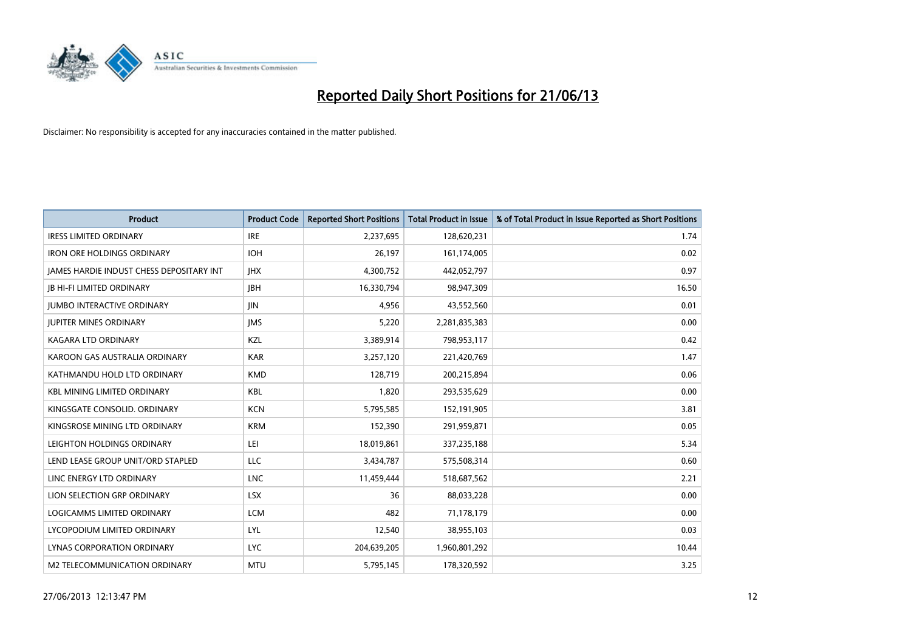

| <b>Product</b>                           | <b>Product Code</b> | <b>Reported Short Positions</b> | <b>Total Product in Issue</b> | % of Total Product in Issue Reported as Short Positions |
|------------------------------------------|---------------------|---------------------------------|-------------------------------|---------------------------------------------------------|
| <b>IRESS LIMITED ORDINARY</b>            | <b>IRE</b>          | 2,237,695                       | 128,620,231                   | 1.74                                                    |
| <b>IRON ORE HOLDINGS ORDINARY</b>        | <b>IOH</b>          | 26,197                          | 161,174,005                   | 0.02                                                    |
| JAMES HARDIE INDUST CHESS DEPOSITARY INT | <b>IHX</b>          | 4,300,752                       | 442,052,797                   | 0.97                                                    |
| <b>JB HI-FI LIMITED ORDINARY</b>         | <b>JBH</b>          | 16,330,794                      | 98,947,309                    | 16.50                                                   |
| <b>JUMBO INTERACTIVE ORDINARY</b>        | <b>JIN</b>          | 4,956                           | 43,552,560                    | 0.01                                                    |
| <b>JUPITER MINES ORDINARY</b>            | <b>IMS</b>          | 5,220                           | 2,281,835,383                 | 0.00                                                    |
| <b>KAGARA LTD ORDINARY</b>               | KZL                 | 3,389,914                       | 798,953,117                   | 0.42                                                    |
| KAROON GAS AUSTRALIA ORDINARY            | <b>KAR</b>          | 3,257,120                       | 221,420,769                   | 1.47                                                    |
| KATHMANDU HOLD LTD ORDINARY              | <b>KMD</b>          | 128,719                         | 200,215,894                   | 0.06                                                    |
| <b>KBL MINING LIMITED ORDINARY</b>       | <b>KBL</b>          | 1,820                           | 293,535,629                   | 0.00                                                    |
| KINGSGATE CONSOLID. ORDINARY             | <b>KCN</b>          | 5,795,585                       | 152,191,905                   | 3.81                                                    |
| KINGSROSE MINING LTD ORDINARY            | <b>KRM</b>          | 152,390                         | 291,959,871                   | 0.05                                                    |
| LEIGHTON HOLDINGS ORDINARY               | LEI                 | 18,019,861                      | 337,235,188                   | 5.34                                                    |
| LEND LEASE GROUP UNIT/ORD STAPLED        | LLC                 | 3,434,787                       | 575,508,314                   | 0.60                                                    |
| LINC ENERGY LTD ORDINARY                 | <b>LNC</b>          | 11,459,444                      | 518,687,562                   | 2.21                                                    |
| LION SELECTION GRP ORDINARY              | <b>LSX</b>          | 36                              | 88,033,228                    | 0.00                                                    |
| LOGICAMMS LIMITED ORDINARY               | <b>LCM</b>          | 482                             | 71,178,179                    | 0.00                                                    |
| LYCOPODIUM LIMITED ORDINARY              | <b>LYL</b>          | 12,540                          | 38,955,103                    | 0.03                                                    |
| LYNAS CORPORATION ORDINARY               | <b>LYC</b>          | 204,639,205                     | 1,960,801,292                 | 10.44                                                   |
| M2 TELECOMMUNICATION ORDINARY            | <b>MTU</b>          | 5,795,145                       | 178,320,592                   | 3.25                                                    |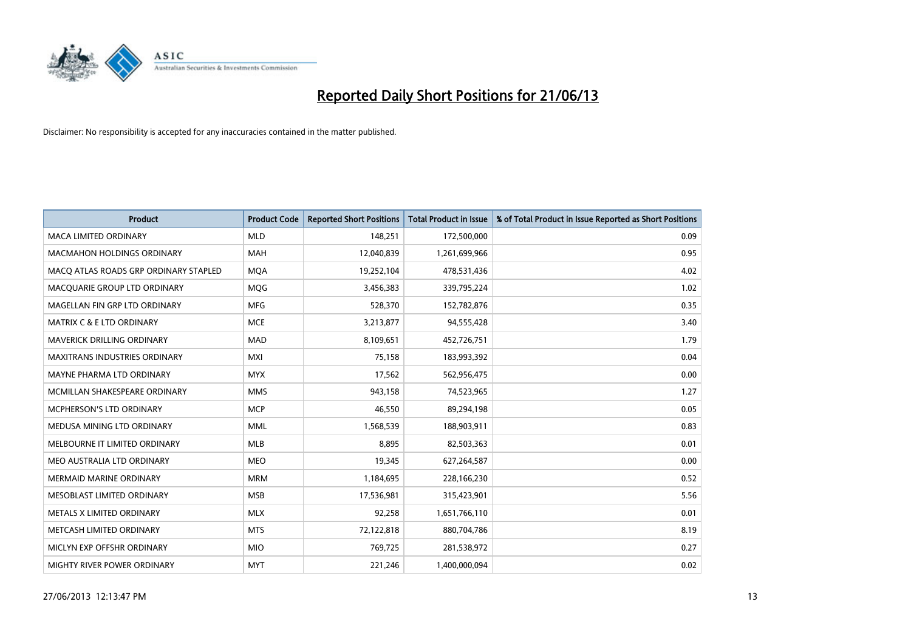

| <b>Product</b>                        | <b>Product Code</b> | <b>Reported Short Positions</b> | <b>Total Product in Issue</b> | % of Total Product in Issue Reported as Short Positions |
|---------------------------------------|---------------------|---------------------------------|-------------------------------|---------------------------------------------------------|
| <b>MACA LIMITED ORDINARY</b>          | <b>MLD</b>          | 148,251                         | 172,500,000                   | 0.09                                                    |
| <b>MACMAHON HOLDINGS ORDINARY</b>     | <b>MAH</b>          | 12,040,839                      | 1,261,699,966                 | 0.95                                                    |
| MACO ATLAS ROADS GRP ORDINARY STAPLED | <b>MOA</b>          | 19,252,104                      | 478,531,436                   | 4.02                                                    |
| MACQUARIE GROUP LTD ORDINARY          | <b>MOG</b>          | 3,456,383                       | 339,795,224                   | 1.02                                                    |
| MAGELLAN FIN GRP LTD ORDINARY         | <b>MFG</b>          | 528,370                         | 152,782,876                   | 0.35                                                    |
| <b>MATRIX C &amp; E LTD ORDINARY</b>  | <b>MCE</b>          | 3,213,877                       | 94,555,428                    | 3.40                                                    |
| <b>MAVERICK DRILLING ORDINARY</b>     | <b>MAD</b>          | 8,109,651                       | 452,726,751                   | 1.79                                                    |
| <b>MAXITRANS INDUSTRIES ORDINARY</b>  | <b>MXI</b>          | 75,158                          | 183,993,392                   | 0.04                                                    |
| MAYNE PHARMA LTD ORDINARY             | <b>MYX</b>          | 17,562                          | 562,956,475                   | 0.00                                                    |
| MCMILLAN SHAKESPEARE ORDINARY         | <b>MMS</b>          | 943,158                         | 74,523,965                    | 1.27                                                    |
| MCPHERSON'S LTD ORDINARY              | <b>MCP</b>          | 46,550                          | 89,294,198                    | 0.05                                                    |
| MEDUSA MINING LTD ORDINARY            | <b>MML</b>          | 1,568,539                       | 188,903,911                   | 0.83                                                    |
| MELBOURNE IT LIMITED ORDINARY         | MLB                 | 8,895                           | 82,503,363                    | 0.01                                                    |
| MEO AUSTRALIA LTD ORDINARY            | <b>MEO</b>          | 19,345                          | 627,264,587                   | 0.00                                                    |
| MERMAID MARINE ORDINARY               | <b>MRM</b>          | 1,184,695                       | 228,166,230                   | 0.52                                                    |
| MESOBLAST LIMITED ORDINARY            | <b>MSB</b>          | 17,536,981                      | 315,423,901                   | 5.56                                                    |
| METALS X LIMITED ORDINARY             | <b>MLX</b>          | 92,258                          | 1,651,766,110                 | 0.01                                                    |
| METCASH LIMITED ORDINARY              | <b>MTS</b>          | 72,122,818                      | 880,704,786                   | 8.19                                                    |
| MICLYN EXP OFFSHR ORDINARY            | <b>MIO</b>          | 769,725                         | 281,538,972                   | 0.27                                                    |
| MIGHTY RIVER POWER ORDINARY           | <b>MYT</b>          | 221,246                         | 1,400,000,094                 | 0.02                                                    |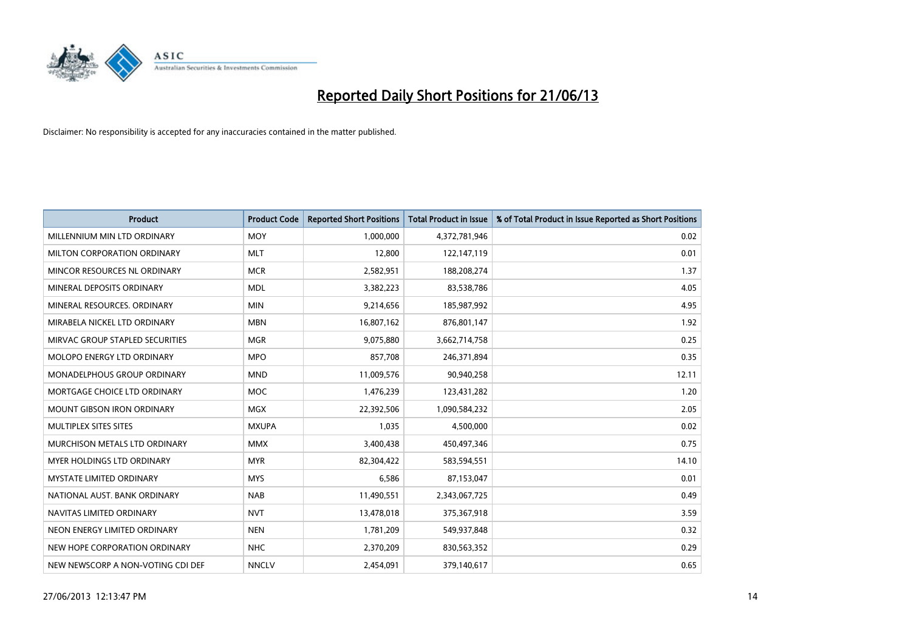

| <b>Product</b>                    | <b>Product Code</b> | <b>Reported Short Positions</b> | <b>Total Product in Issue</b> | % of Total Product in Issue Reported as Short Positions |
|-----------------------------------|---------------------|---------------------------------|-------------------------------|---------------------------------------------------------|
| MILLENNIUM MIN LTD ORDINARY       | <b>MOY</b>          | 1,000,000                       | 4,372,781,946                 | 0.02                                                    |
| MILTON CORPORATION ORDINARY       | <b>MLT</b>          | 12,800                          | 122,147,119                   | 0.01                                                    |
| MINCOR RESOURCES NL ORDINARY      | <b>MCR</b>          | 2,582,951                       | 188,208,274                   | 1.37                                                    |
| MINERAL DEPOSITS ORDINARY         | <b>MDL</b>          | 3,382,223                       | 83,538,786                    | 4.05                                                    |
| MINERAL RESOURCES, ORDINARY       | <b>MIN</b>          | 9,214,656                       | 185,987,992                   | 4.95                                                    |
| MIRABELA NICKEL LTD ORDINARY      | <b>MBN</b>          | 16,807,162                      | 876,801,147                   | 1.92                                                    |
| MIRVAC GROUP STAPLED SECURITIES   | <b>MGR</b>          | 9,075,880                       | 3,662,714,758                 | 0.25                                                    |
| MOLOPO ENERGY LTD ORDINARY        | <b>MPO</b>          | 857,708                         | 246,371,894                   | 0.35                                                    |
| MONADELPHOUS GROUP ORDINARY       | <b>MND</b>          | 11,009,576                      | 90,940,258                    | 12.11                                                   |
| MORTGAGE CHOICE LTD ORDINARY      | <b>MOC</b>          | 1,476,239                       | 123,431,282                   | 1.20                                                    |
| <b>MOUNT GIBSON IRON ORDINARY</b> | <b>MGX</b>          | 22,392,506                      | 1,090,584,232                 | 2.05                                                    |
| MULTIPLEX SITES SITES             | <b>MXUPA</b>        | 1,035                           | 4,500,000                     | 0.02                                                    |
| MURCHISON METALS LTD ORDINARY     | <b>MMX</b>          | 3,400,438                       | 450,497,346                   | 0.75                                                    |
| MYER HOLDINGS LTD ORDINARY        | <b>MYR</b>          | 82,304,422                      | 583,594,551                   | 14.10                                                   |
| <b>MYSTATE LIMITED ORDINARY</b>   | <b>MYS</b>          | 6,586                           | 87,153,047                    | 0.01                                                    |
| NATIONAL AUST, BANK ORDINARY      | <b>NAB</b>          | 11,490,551                      | 2,343,067,725                 | 0.49                                                    |
| NAVITAS LIMITED ORDINARY          | <b>NVT</b>          | 13,478,018                      | 375,367,918                   | 3.59                                                    |
| NEON ENERGY LIMITED ORDINARY      | <b>NEN</b>          | 1,781,209                       | 549,937,848                   | 0.32                                                    |
| NEW HOPE CORPORATION ORDINARY     | <b>NHC</b>          | 2,370,209                       | 830,563,352                   | 0.29                                                    |
| NEW NEWSCORP A NON-VOTING CDI DEF | <b>NNCLV</b>        | 2,454,091                       | 379,140,617                   | 0.65                                                    |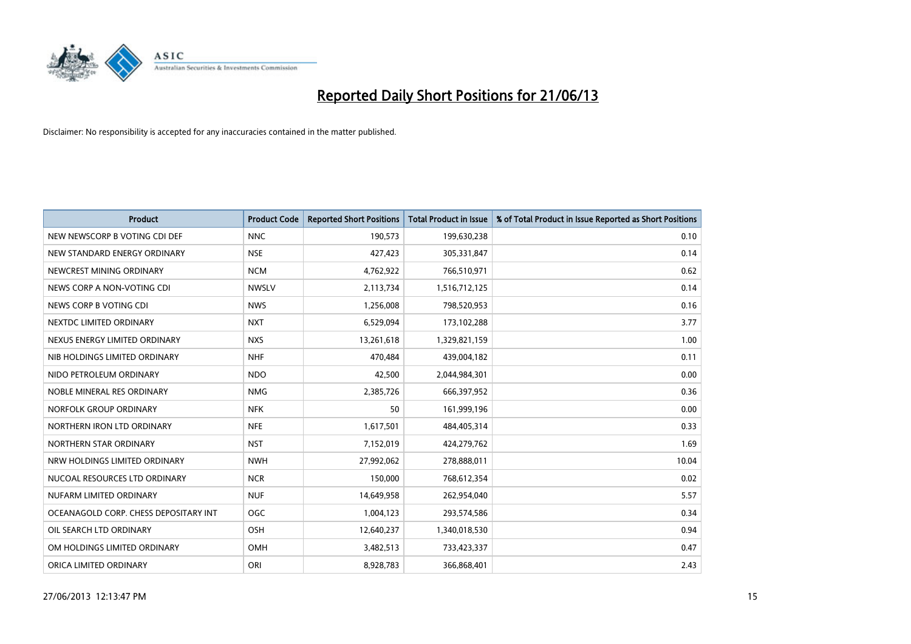

| <b>Product</b>                        | <b>Product Code</b> | <b>Reported Short Positions</b> | <b>Total Product in Issue</b> | % of Total Product in Issue Reported as Short Positions |
|---------------------------------------|---------------------|---------------------------------|-------------------------------|---------------------------------------------------------|
| NEW NEWSCORP B VOTING CDI DEF         | <b>NNC</b>          | 190,573                         | 199,630,238                   | 0.10                                                    |
| NEW STANDARD ENERGY ORDINARY          | <b>NSE</b>          | 427,423                         | 305,331,847                   | 0.14                                                    |
| NEWCREST MINING ORDINARY              | <b>NCM</b>          | 4,762,922                       | 766,510,971                   | 0.62                                                    |
| NEWS CORP A NON-VOTING CDI            | <b>NWSLV</b>        | 2,113,734                       | 1,516,712,125                 | 0.14                                                    |
| NEWS CORP B VOTING CDI                | <b>NWS</b>          | 1,256,008                       | 798,520,953                   | 0.16                                                    |
| NEXTDC LIMITED ORDINARY               | <b>NXT</b>          | 6,529,094                       | 173,102,288                   | 3.77                                                    |
| NEXUS ENERGY LIMITED ORDINARY         | <b>NXS</b>          | 13,261,618                      | 1,329,821,159                 | 1.00                                                    |
| NIB HOLDINGS LIMITED ORDINARY         | <b>NHF</b>          | 470,484                         | 439,004,182                   | 0.11                                                    |
| NIDO PETROLEUM ORDINARY               | <b>NDO</b>          | 42,500                          | 2,044,984,301                 | 0.00                                                    |
| NOBLE MINERAL RES ORDINARY            | <b>NMG</b>          | 2,385,726                       | 666,397,952                   | 0.36                                                    |
| NORFOLK GROUP ORDINARY                | <b>NFK</b>          | 50                              | 161,999,196                   | 0.00                                                    |
| NORTHERN IRON LTD ORDINARY            | <b>NFE</b>          | 1,617,501                       | 484,405,314                   | 0.33                                                    |
| NORTHERN STAR ORDINARY                | <b>NST</b>          | 7,152,019                       | 424,279,762                   | 1.69                                                    |
| NRW HOLDINGS LIMITED ORDINARY         | <b>NWH</b>          | 27,992,062                      | 278,888,011                   | 10.04                                                   |
| NUCOAL RESOURCES LTD ORDINARY         | <b>NCR</b>          | 150,000                         | 768,612,354                   | 0.02                                                    |
| NUFARM LIMITED ORDINARY               | <b>NUF</b>          | 14,649,958                      | 262,954,040                   | 5.57                                                    |
| OCEANAGOLD CORP. CHESS DEPOSITARY INT | <b>OGC</b>          | 1,004,123                       | 293,574,586                   | 0.34                                                    |
| OIL SEARCH LTD ORDINARY               | OSH                 | 12,640,237                      | 1,340,018,530                 | 0.94                                                    |
| OM HOLDINGS LIMITED ORDINARY          | OMH                 | 3,482,513                       | 733,423,337                   | 0.47                                                    |
| ORICA LIMITED ORDINARY                | ORI                 | 8,928,783                       | 366,868,401                   | 2.43                                                    |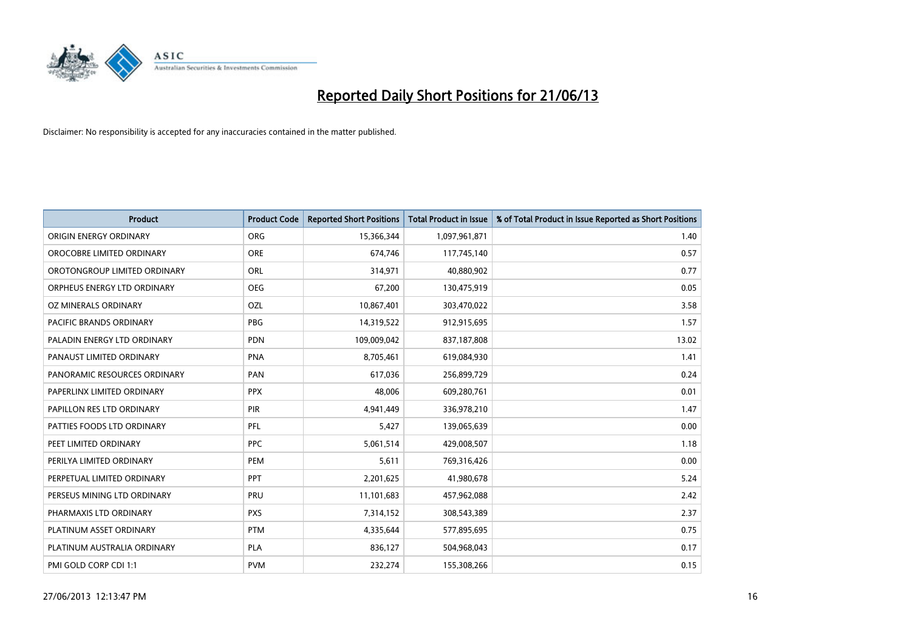

| Product                      | <b>Product Code</b> | <b>Reported Short Positions</b> | <b>Total Product in Issue</b> | % of Total Product in Issue Reported as Short Positions |
|------------------------------|---------------------|---------------------------------|-------------------------------|---------------------------------------------------------|
| ORIGIN ENERGY ORDINARY       | <b>ORG</b>          | 15,366,344                      | 1,097,961,871                 | 1.40                                                    |
| OROCOBRE LIMITED ORDINARY    | <b>ORE</b>          | 674,746                         | 117,745,140                   | 0.57                                                    |
| OROTONGROUP LIMITED ORDINARY | <b>ORL</b>          | 314,971                         | 40,880,902                    | 0.77                                                    |
| ORPHEUS ENERGY LTD ORDINARY  | <b>OEG</b>          | 67,200                          | 130,475,919                   | 0.05                                                    |
| OZ MINERALS ORDINARY         | OZL                 | 10,867,401                      | 303,470,022                   | 3.58                                                    |
| PACIFIC BRANDS ORDINARY      | <b>PBG</b>          | 14,319,522                      | 912,915,695                   | 1.57                                                    |
| PALADIN ENERGY LTD ORDINARY  | <b>PDN</b>          | 109,009,042                     | 837,187,808                   | 13.02                                                   |
| PANAUST LIMITED ORDINARY     | <b>PNA</b>          | 8,705,461                       | 619,084,930                   | 1.41                                                    |
| PANORAMIC RESOURCES ORDINARY | PAN                 | 617,036                         | 256,899,729                   | 0.24                                                    |
| PAPERLINX LIMITED ORDINARY   | <b>PPX</b>          | 48,006                          | 609,280,761                   | 0.01                                                    |
| PAPILLON RES LTD ORDINARY    | <b>PIR</b>          | 4,941,449                       | 336,978,210                   | 1.47                                                    |
| PATTIES FOODS LTD ORDINARY   | PFL                 | 5,427                           | 139,065,639                   | 0.00                                                    |
| PEET LIMITED ORDINARY        | <b>PPC</b>          | 5,061,514                       | 429,008,507                   | 1.18                                                    |
| PERILYA LIMITED ORDINARY     | PEM                 | 5,611                           | 769,316,426                   | 0.00                                                    |
| PERPETUAL LIMITED ORDINARY   | PPT                 | 2,201,625                       | 41,980,678                    | 5.24                                                    |
| PERSEUS MINING LTD ORDINARY  | PRU                 | 11,101,683                      | 457,962,088                   | 2.42                                                    |
| PHARMAXIS LTD ORDINARY       | <b>PXS</b>          | 7,314,152                       | 308,543,389                   | 2.37                                                    |
| PLATINUM ASSET ORDINARY      | <b>PTM</b>          | 4,335,644                       | 577,895,695                   | 0.75                                                    |
| PLATINUM AUSTRALIA ORDINARY  | <b>PLA</b>          | 836,127                         | 504,968,043                   | 0.17                                                    |
| PMI GOLD CORP CDI 1:1        | <b>PVM</b>          | 232,274                         | 155,308,266                   | 0.15                                                    |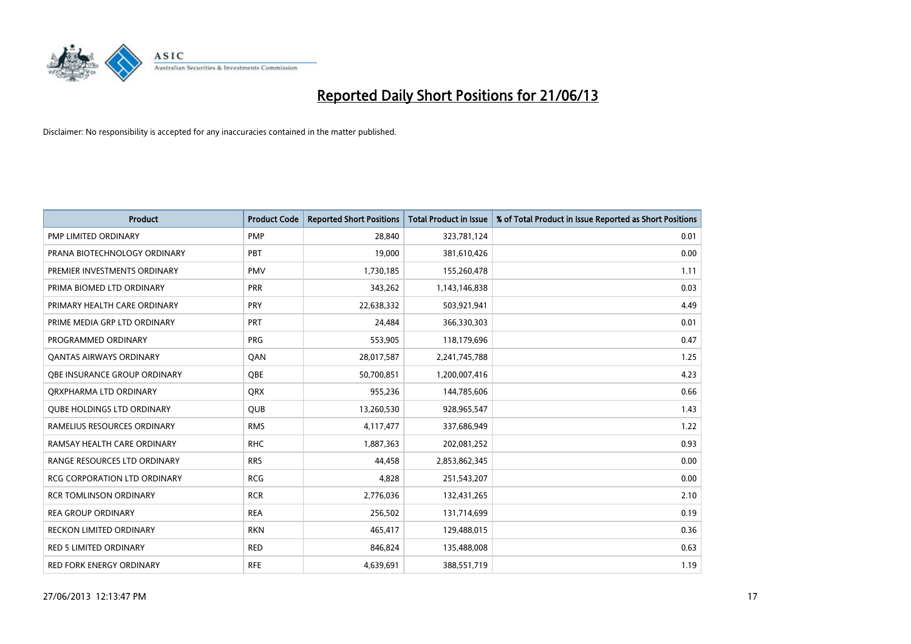

| <b>Product</b>                      | <b>Product Code</b> | <b>Reported Short Positions</b> | <b>Total Product in Issue</b> | % of Total Product in Issue Reported as Short Positions |
|-------------------------------------|---------------------|---------------------------------|-------------------------------|---------------------------------------------------------|
| <b>PMP LIMITED ORDINARY</b>         | <b>PMP</b>          | 28,840                          | 323,781,124                   | 0.01                                                    |
| PRANA BIOTECHNOLOGY ORDINARY        | <b>PBT</b>          | 19,000                          | 381,610,426                   | 0.00                                                    |
| PREMIER INVESTMENTS ORDINARY        | <b>PMV</b>          | 1,730,185                       | 155,260,478                   | 1.11                                                    |
| PRIMA BIOMED LTD ORDINARY           | <b>PRR</b>          | 343,262                         | 1,143,146,838                 | 0.03                                                    |
| PRIMARY HEALTH CARE ORDINARY        | <b>PRY</b>          | 22,638,332                      | 503,921,941                   | 4.49                                                    |
| PRIME MEDIA GRP LTD ORDINARY        | PRT                 | 24,484                          | 366,330,303                   | 0.01                                                    |
| PROGRAMMED ORDINARY                 | <b>PRG</b>          | 553,905                         | 118,179,696                   | 0.47                                                    |
| <b>QANTAS AIRWAYS ORDINARY</b>      | QAN                 | 28,017,587                      | 2,241,745,788                 | 1.25                                                    |
| OBE INSURANCE GROUP ORDINARY        | OBE                 | 50,700,851                      | 1,200,007,416                 | 4.23                                                    |
| ORXPHARMA LTD ORDINARY              | <b>QRX</b>          | 955,236                         | 144,785,606                   | 0.66                                                    |
| <b>QUBE HOLDINGS LTD ORDINARY</b>   | <b>QUB</b>          | 13,260,530                      | 928,965,547                   | 1.43                                                    |
| RAMELIUS RESOURCES ORDINARY         | <b>RMS</b>          | 4,117,477                       | 337,686,949                   | 1.22                                                    |
| RAMSAY HEALTH CARE ORDINARY         | <b>RHC</b>          | 1,887,363                       | 202,081,252                   | 0.93                                                    |
| RANGE RESOURCES LTD ORDINARY        | <b>RRS</b>          | 44,458                          | 2,853,862,345                 | 0.00                                                    |
| <b>RCG CORPORATION LTD ORDINARY</b> | <b>RCG</b>          | 4,828                           | 251,543,207                   | 0.00                                                    |
| <b>RCR TOMLINSON ORDINARY</b>       | <b>RCR</b>          | 2,776,036                       | 132,431,265                   | 2.10                                                    |
| <b>REA GROUP ORDINARY</b>           | <b>REA</b>          | 256,502                         | 131,714,699                   | 0.19                                                    |
| RECKON LIMITED ORDINARY             | <b>RKN</b>          | 465,417                         | 129,488,015                   | 0.36                                                    |
| <b>RED 5 LIMITED ORDINARY</b>       | <b>RED</b>          | 846,824                         | 135,488,008                   | 0.63                                                    |
| RED FORK ENERGY ORDINARY            | <b>RFE</b>          | 4,639,691                       | 388,551,719                   | 1.19                                                    |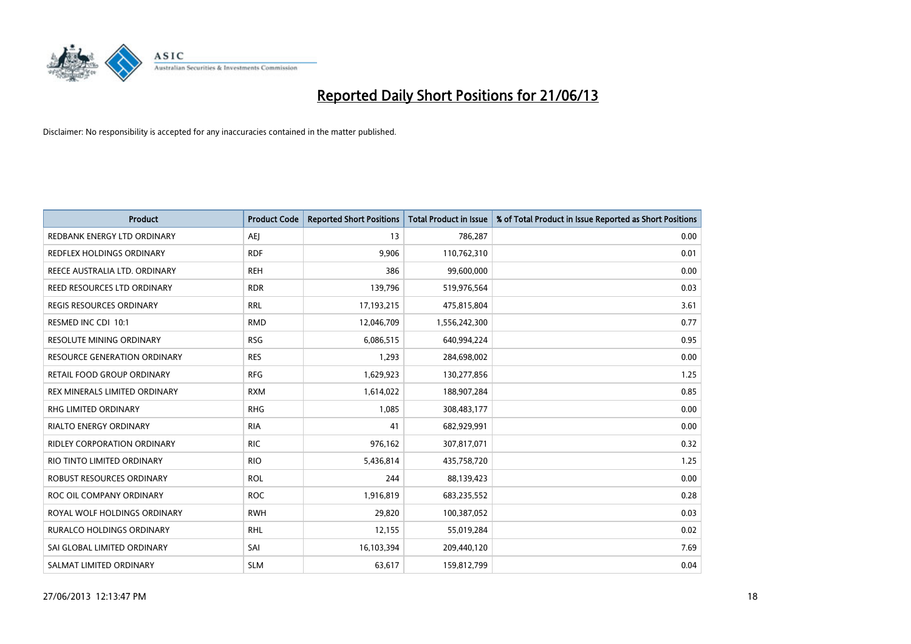

| Product                           | <b>Product Code</b> | <b>Reported Short Positions</b> | <b>Total Product in Issue</b> | % of Total Product in Issue Reported as Short Positions |
|-----------------------------------|---------------------|---------------------------------|-------------------------------|---------------------------------------------------------|
| REDBANK ENERGY LTD ORDINARY       | <b>AEJ</b>          | 13                              | 786,287                       | 0.00                                                    |
| <b>REDFLEX HOLDINGS ORDINARY</b>  | <b>RDF</b>          | 9,906                           | 110,762,310                   | 0.01                                                    |
| REECE AUSTRALIA LTD. ORDINARY     | <b>REH</b>          | 386                             | 99,600,000                    | 0.00                                                    |
| REED RESOURCES LTD ORDINARY       | <b>RDR</b>          | 139,796                         | 519,976,564                   | 0.03                                                    |
| <b>REGIS RESOURCES ORDINARY</b>   | <b>RRL</b>          | 17,193,215                      | 475,815,804                   | 3.61                                                    |
| RESMED INC CDI 10:1               | <b>RMD</b>          | 12,046,709                      | 1,556,242,300                 | 0.77                                                    |
| RESOLUTE MINING ORDINARY          | <b>RSG</b>          | 6,086,515                       | 640,994,224                   | 0.95                                                    |
| RESOURCE GENERATION ORDINARY      | <b>RES</b>          | 1,293                           | 284,698,002                   | 0.00                                                    |
| <b>RETAIL FOOD GROUP ORDINARY</b> | <b>RFG</b>          | 1,629,923                       | 130,277,856                   | 1.25                                                    |
| REX MINERALS LIMITED ORDINARY     | <b>RXM</b>          | 1,614,022                       | 188,907,284                   | 0.85                                                    |
| RHG LIMITED ORDINARY              | <b>RHG</b>          | 1,085                           | 308,483,177                   | 0.00                                                    |
| <b>RIALTO ENERGY ORDINARY</b>     | <b>RIA</b>          | 41                              | 682,929,991                   | 0.00                                                    |
| RIDLEY CORPORATION ORDINARY       | <b>RIC</b>          | 976,162                         | 307,817,071                   | 0.32                                                    |
| RIO TINTO LIMITED ORDINARY        | <b>RIO</b>          | 5,436,814                       | 435,758,720                   | 1.25                                                    |
| ROBUST RESOURCES ORDINARY         | <b>ROL</b>          | 244                             | 88,139,423                    | 0.00                                                    |
| ROC OIL COMPANY ORDINARY          | <b>ROC</b>          | 1,916,819                       | 683,235,552                   | 0.28                                                    |
| ROYAL WOLF HOLDINGS ORDINARY      | <b>RWH</b>          | 29,820                          | 100,387,052                   | 0.03                                                    |
| RURALCO HOLDINGS ORDINARY         | <b>RHL</b>          | 12,155                          | 55,019,284                    | 0.02                                                    |
| SAI GLOBAL LIMITED ORDINARY       | SAI                 | 16,103,394                      | 209,440,120                   | 7.69                                                    |
| SALMAT LIMITED ORDINARY           | <b>SLM</b>          | 63,617                          | 159,812,799                   | 0.04                                                    |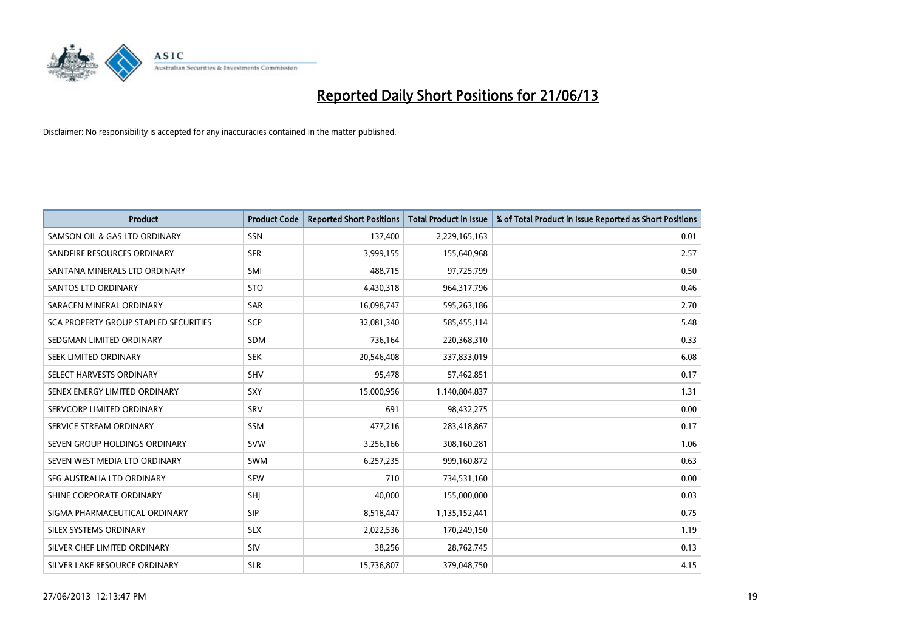

| <b>Product</b>                        | <b>Product Code</b> | <b>Reported Short Positions</b> | <b>Total Product in Issue</b> | % of Total Product in Issue Reported as Short Positions |
|---------------------------------------|---------------------|---------------------------------|-------------------------------|---------------------------------------------------------|
| SAMSON OIL & GAS LTD ORDINARY         | <b>SSN</b>          | 137,400                         | 2,229,165,163                 | 0.01                                                    |
| SANDFIRE RESOURCES ORDINARY           | <b>SFR</b>          | 3,999,155                       | 155,640,968                   | 2.57                                                    |
| SANTANA MINERALS LTD ORDINARY         | SMI                 | 488,715                         | 97,725,799                    | 0.50                                                    |
| SANTOS LTD ORDINARY                   | <b>STO</b>          | 4,430,318                       | 964,317,796                   | 0.46                                                    |
| SARACEN MINERAL ORDINARY              | SAR                 | 16,098,747                      | 595,263,186                   | 2.70                                                    |
| SCA PROPERTY GROUP STAPLED SECURITIES | <b>SCP</b>          | 32,081,340                      | 585,455,114                   | 5.48                                                    |
| SEDGMAN LIMITED ORDINARY              | <b>SDM</b>          | 736,164                         | 220,368,310                   | 0.33                                                    |
| SEEK LIMITED ORDINARY                 | <b>SEK</b>          | 20,546,408                      | 337,833,019                   | 6.08                                                    |
| SELECT HARVESTS ORDINARY              | <b>SHV</b>          | 95,478                          | 57,462,851                    | 0.17                                                    |
| SENEX ENERGY LIMITED ORDINARY         | SXY                 | 15,000,956                      | 1,140,804,837                 | 1.31                                                    |
| SERVCORP LIMITED ORDINARY             | SRV                 | 691                             | 98,432,275                    | 0.00                                                    |
| SERVICE STREAM ORDINARY               | <b>SSM</b>          | 477,216                         | 283,418,867                   | 0.17                                                    |
| SEVEN GROUP HOLDINGS ORDINARY         | <b>SVW</b>          | 3,256,166                       | 308,160,281                   | 1.06                                                    |
| SEVEN WEST MEDIA LTD ORDINARY         | <b>SWM</b>          | 6,257,235                       | 999,160,872                   | 0.63                                                    |
| SFG AUSTRALIA LTD ORDINARY            | <b>SFW</b>          | 710                             | 734,531,160                   | 0.00                                                    |
| SHINE CORPORATE ORDINARY              | SHJ                 | 40,000                          | 155,000,000                   | 0.03                                                    |
| SIGMA PHARMACEUTICAL ORDINARY         | <b>SIP</b>          | 8,518,447                       | 1,135,152,441                 | 0.75                                                    |
| SILEX SYSTEMS ORDINARY                | <b>SLX</b>          | 2,022,536                       | 170,249,150                   | 1.19                                                    |
| SILVER CHEF LIMITED ORDINARY          | <b>SIV</b>          | 38,256                          | 28,762,745                    | 0.13                                                    |
| SILVER LAKE RESOURCE ORDINARY         | <b>SLR</b>          | 15,736,807                      | 379,048,750                   | 4.15                                                    |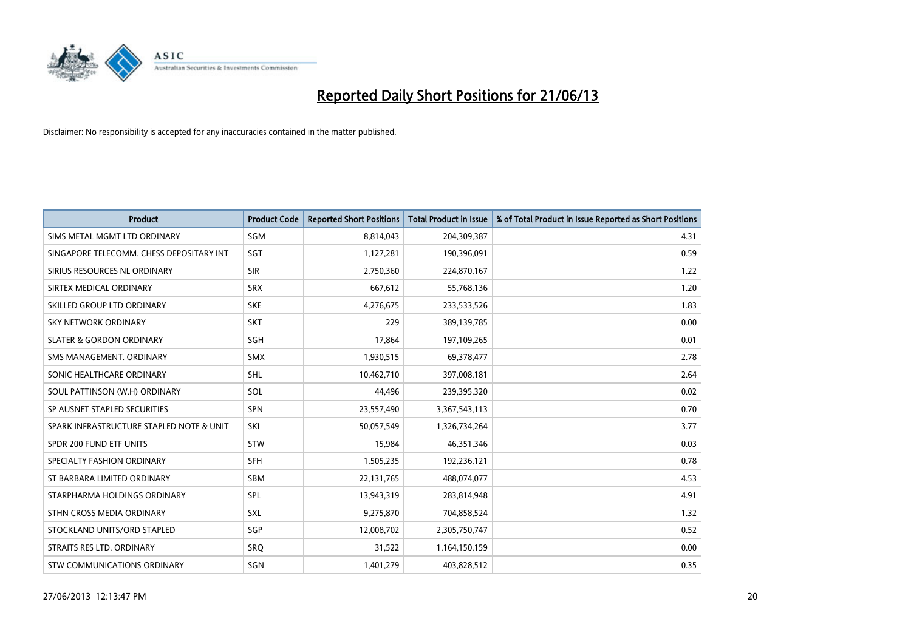

| <b>Product</b>                           | <b>Product Code</b> | <b>Reported Short Positions</b> | <b>Total Product in Issue</b> | % of Total Product in Issue Reported as Short Positions |
|------------------------------------------|---------------------|---------------------------------|-------------------------------|---------------------------------------------------------|
| SIMS METAL MGMT LTD ORDINARY             | SGM                 | 8,814,043                       | 204,309,387                   | 4.31                                                    |
| SINGAPORE TELECOMM. CHESS DEPOSITARY INT | SGT                 | 1,127,281                       | 190,396,091                   | 0.59                                                    |
| SIRIUS RESOURCES NL ORDINARY             | <b>SIR</b>          | 2,750,360                       | 224,870,167                   | 1.22                                                    |
| SIRTEX MEDICAL ORDINARY                  | <b>SRX</b>          | 667,612                         | 55,768,136                    | 1.20                                                    |
| SKILLED GROUP LTD ORDINARY               | <b>SKE</b>          | 4,276,675                       | 233,533,526                   | 1.83                                                    |
| <b>SKY NETWORK ORDINARY</b>              | <b>SKT</b>          | 229                             | 389,139,785                   | 0.00                                                    |
| <b>SLATER &amp; GORDON ORDINARY</b>      | <b>SGH</b>          | 17,864                          | 197,109,265                   | 0.01                                                    |
| SMS MANAGEMENT, ORDINARY                 | <b>SMX</b>          | 1,930,515                       | 69,378,477                    | 2.78                                                    |
| SONIC HEALTHCARE ORDINARY                | SHL                 | 10,462,710                      | 397,008,181                   | 2.64                                                    |
| SOUL PATTINSON (W.H) ORDINARY            | SOL                 | 44,496                          | 239,395,320                   | 0.02                                                    |
| SP AUSNET STAPLED SECURITIES             | SPN                 | 23,557,490                      | 3,367,543,113                 | 0.70                                                    |
| SPARK INFRASTRUCTURE STAPLED NOTE & UNIT | SKI                 | 50,057,549                      | 1,326,734,264                 | 3.77                                                    |
| SPDR 200 FUND ETF UNITS                  | <b>STW</b>          | 15,984                          | 46,351,346                    | 0.03                                                    |
| SPECIALTY FASHION ORDINARY               | <b>SFH</b>          | 1,505,235                       | 192,236,121                   | 0.78                                                    |
| ST BARBARA LIMITED ORDINARY              | <b>SBM</b>          | 22,131,765                      | 488,074,077                   | 4.53                                                    |
| STARPHARMA HOLDINGS ORDINARY             | SPL                 | 13,943,319                      | 283,814,948                   | 4.91                                                    |
| STHN CROSS MEDIA ORDINARY                | SXL                 | 9,275,870                       | 704,858,524                   | 1.32                                                    |
| STOCKLAND UNITS/ORD STAPLED              | SGP                 | 12,008,702                      | 2,305,750,747                 | 0.52                                                    |
| STRAITS RES LTD. ORDINARY                | <b>SRO</b>          | 31,522                          | 1,164,150,159                 | 0.00                                                    |
| STW COMMUNICATIONS ORDINARY              | SGN                 | 1,401,279                       | 403,828,512                   | 0.35                                                    |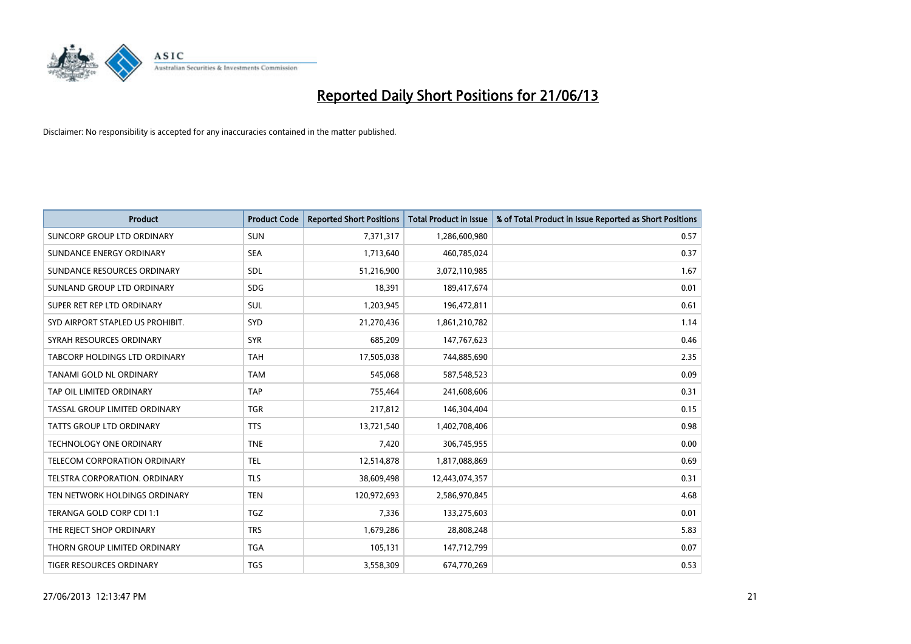

| <b>Product</b>                       | <b>Product Code</b> | <b>Reported Short Positions</b> | <b>Total Product in Issue</b> | % of Total Product in Issue Reported as Short Positions |
|--------------------------------------|---------------------|---------------------------------|-------------------------------|---------------------------------------------------------|
| SUNCORP GROUP LTD ORDINARY           | <b>SUN</b>          | 7,371,317                       | 1,286,600,980                 | 0.57                                                    |
| SUNDANCE ENERGY ORDINARY             | <b>SEA</b>          | 1,713,640                       | 460,785,024                   | 0.37                                                    |
| SUNDANCE RESOURCES ORDINARY          | <b>SDL</b>          | 51,216,900                      | 3,072,110,985                 | 1.67                                                    |
| SUNLAND GROUP LTD ORDINARY           | <b>SDG</b>          | 18,391                          | 189,417,674                   | 0.01                                                    |
| SUPER RET REP LTD ORDINARY           | SUL                 | 1,203,945                       | 196,472,811                   | 0.61                                                    |
| SYD AIRPORT STAPLED US PROHIBIT.     | SYD                 | 21,270,436                      | 1,861,210,782                 | 1.14                                                    |
| SYRAH RESOURCES ORDINARY             | <b>SYR</b>          | 685,209                         | 147,767,623                   | 0.46                                                    |
| TABCORP HOLDINGS LTD ORDINARY        | <b>TAH</b>          | 17,505,038                      | 744,885,690                   | 2.35                                                    |
| TANAMI GOLD NL ORDINARY              | <b>TAM</b>          | 545,068                         | 587,548,523                   | 0.09                                                    |
| TAP OIL LIMITED ORDINARY             | <b>TAP</b>          | 755,464                         | 241,608,606                   | 0.31                                                    |
| <b>TASSAL GROUP LIMITED ORDINARY</b> | <b>TGR</b>          | 217,812                         | 146,304,404                   | 0.15                                                    |
| <b>TATTS GROUP LTD ORDINARY</b>      | <b>TTS</b>          | 13,721,540                      | 1,402,708,406                 | 0.98                                                    |
| TECHNOLOGY ONE ORDINARY              | <b>TNE</b>          | 7,420                           | 306,745,955                   | 0.00                                                    |
| <b>TELECOM CORPORATION ORDINARY</b>  | <b>TEL</b>          | 12,514,878                      | 1,817,088,869                 | 0.69                                                    |
| TELSTRA CORPORATION, ORDINARY        | <b>TLS</b>          | 38,609,498                      | 12,443,074,357                | 0.31                                                    |
| TEN NETWORK HOLDINGS ORDINARY        | <b>TEN</b>          | 120,972,693                     | 2,586,970,845                 | 4.68                                                    |
| TERANGA GOLD CORP CDI 1:1            | <b>TGZ</b>          | 7,336                           | 133,275,603                   | 0.01                                                    |
| THE REJECT SHOP ORDINARY             | <b>TRS</b>          | 1,679,286                       | 28,808,248                    | 5.83                                                    |
| THORN GROUP LIMITED ORDINARY         | <b>TGA</b>          | 105,131                         | 147,712,799                   | 0.07                                                    |
| TIGER RESOURCES ORDINARY             | <b>TGS</b>          | 3,558,309                       | 674,770,269                   | 0.53                                                    |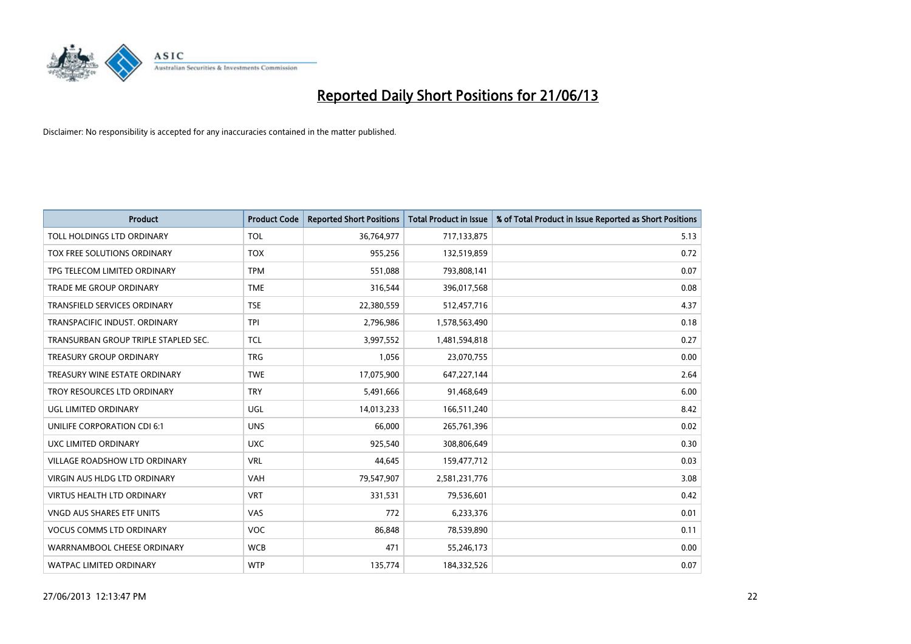

| <b>Product</b>                       | <b>Product Code</b> | <b>Reported Short Positions</b> | <b>Total Product in Issue</b> | % of Total Product in Issue Reported as Short Positions |
|--------------------------------------|---------------------|---------------------------------|-------------------------------|---------------------------------------------------------|
| TOLL HOLDINGS LTD ORDINARY           | <b>TOL</b>          | 36,764,977                      | 717,133,875                   | 5.13                                                    |
| TOX FREE SOLUTIONS ORDINARY          | <b>TOX</b>          | 955,256                         | 132,519,859                   | 0.72                                                    |
| TPG TELECOM LIMITED ORDINARY         | <b>TPM</b>          | 551,088                         | 793,808,141                   | 0.07                                                    |
| TRADE ME GROUP ORDINARY              | <b>TME</b>          | 316,544                         | 396,017,568                   | 0.08                                                    |
| <b>TRANSFIELD SERVICES ORDINARY</b>  | <b>TSE</b>          | 22,380,559                      | 512,457,716                   | 4.37                                                    |
| TRANSPACIFIC INDUST, ORDINARY        | <b>TPI</b>          | 2,796,986                       | 1,578,563,490                 | 0.18                                                    |
| TRANSURBAN GROUP TRIPLE STAPLED SEC. | <b>TCL</b>          | 3,997,552                       | 1,481,594,818                 | 0.27                                                    |
| TREASURY GROUP ORDINARY              | <b>TRG</b>          | 1,056                           | 23,070,755                    | 0.00                                                    |
| TREASURY WINE ESTATE ORDINARY        | <b>TWE</b>          | 17,075,900                      | 647,227,144                   | 2.64                                                    |
| TROY RESOURCES LTD ORDINARY          | <b>TRY</b>          | 5,491,666                       | 91,468,649                    | 6.00                                                    |
| UGL LIMITED ORDINARY                 | UGL                 | 14,013,233                      | 166,511,240                   | 8.42                                                    |
| UNILIFE CORPORATION CDI 6:1          | <b>UNS</b>          | 66,000                          | 265,761,396                   | 0.02                                                    |
| UXC LIMITED ORDINARY                 | <b>UXC</b>          | 925,540                         | 308,806,649                   | 0.30                                                    |
| <b>VILLAGE ROADSHOW LTD ORDINARY</b> | <b>VRL</b>          | 44,645                          | 159,477,712                   | 0.03                                                    |
| VIRGIN AUS HLDG LTD ORDINARY         | <b>VAH</b>          | 79,547,907                      | 2,581,231,776                 | 3.08                                                    |
| VIRTUS HEALTH LTD ORDINARY           | <b>VRT</b>          | 331,531                         | 79,536,601                    | 0.42                                                    |
| VNGD AUS SHARES ETF UNITS            | <b>VAS</b>          | 772                             | 6,233,376                     | 0.01                                                    |
| <b>VOCUS COMMS LTD ORDINARY</b>      | VOC                 | 86,848                          | 78,539,890                    | 0.11                                                    |
| WARRNAMBOOL CHEESE ORDINARY          | <b>WCB</b>          | 471                             | 55,246,173                    | 0.00                                                    |
| WATPAC LIMITED ORDINARY              | <b>WTP</b>          | 135,774                         | 184,332,526                   | 0.07                                                    |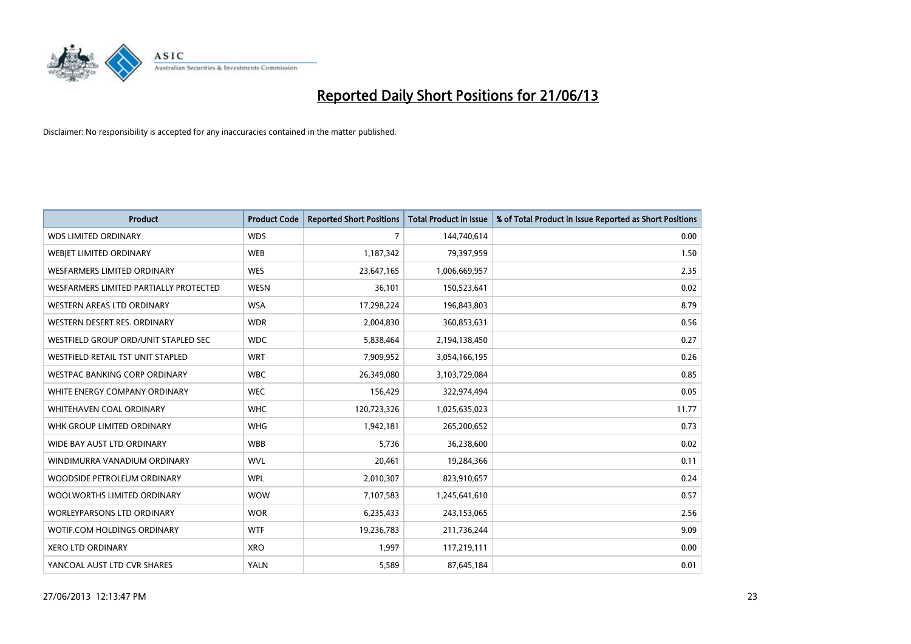

| <b>Product</b>                         | <b>Product Code</b> | <b>Reported Short Positions</b> | <b>Total Product in Issue</b> | % of Total Product in Issue Reported as Short Positions |
|----------------------------------------|---------------------|---------------------------------|-------------------------------|---------------------------------------------------------|
| <b>WDS LIMITED ORDINARY</b>            | <b>WDS</b>          | $\overline{7}$                  | 144,740,614                   | 0.00                                                    |
| WEBJET LIMITED ORDINARY                | <b>WEB</b>          | 1,187,342                       | 79,397,959                    | 1.50                                                    |
| WESFARMERS LIMITED ORDINARY            | <b>WES</b>          | 23,647,165                      | 1,006,669,957                 | 2.35                                                    |
| WESFARMERS LIMITED PARTIALLY PROTECTED | <b>WESN</b>         | 36,101                          | 150,523,641                   | 0.02                                                    |
| WESTERN AREAS LTD ORDINARY             | <b>WSA</b>          | 17,298,224                      | 196,843,803                   | 8.79                                                    |
| WESTERN DESERT RES. ORDINARY           | <b>WDR</b>          | 2,004,830                       | 360,853,631                   | 0.56                                                    |
| WESTFIELD GROUP ORD/UNIT STAPLED SEC   | <b>WDC</b>          | 5,838,464                       | 2,194,138,450                 | 0.27                                                    |
| WESTFIELD RETAIL TST UNIT STAPLED      | <b>WRT</b>          | 7,909,952                       | 3,054,166,195                 | 0.26                                                    |
| <b>WESTPAC BANKING CORP ORDINARY</b>   | <b>WBC</b>          | 26,349,080                      | 3,103,729,084                 | 0.85                                                    |
| WHITE ENERGY COMPANY ORDINARY          | <b>WEC</b>          | 156,429                         | 322,974,494                   | 0.05                                                    |
| WHITEHAVEN COAL ORDINARY               | <b>WHC</b>          | 120,723,326                     | 1,025,635,023                 | 11.77                                                   |
| WHK GROUP LIMITED ORDINARY             | <b>WHG</b>          | 1,942,181                       | 265,200,652                   | 0.73                                                    |
| WIDE BAY AUST LTD ORDINARY             | <b>WBB</b>          | 5,736                           | 36,238,600                    | 0.02                                                    |
| WINDIMURRA VANADIUM ORDINARY           | <b>WVL</b>          | 20,461                          | 19,284,366                    | 0.11                                                    |
| WOODSIDE PETROLEUM ORDINARY            | <b>WPL</b>          | 2,010,307                       | 823,910,657                   | 0.24                                                    |
| WOOLWORTHS LIMITED ORDINARY            | <b>WOW</b>          | 7,107,583                       | 1,245,641,610                 | 0.57                                                    |
| <b>WORLEYPARSONS LTD ORDINARY</b>      | <b>WOR</b>          | 6,235,433                       | 243,153,065                   | 2.56                                                    |
| WOTIF.COM HOLDINGS ORDINARY            | <b>WTF</b>          | 19,236,783                      | 211,736,244                   | 9.09                                                    |
| <b>XERO LTD ORDINARY</b>               | <b>XRO</b>          | 1,997                           | 117,219,111                   | 0.00                                                    |
| YANCOAL AUST LTD CVR SHARES            | <b>YALN</b>         | 5,589                           | 87,645,184                    | 0.01                                                    |